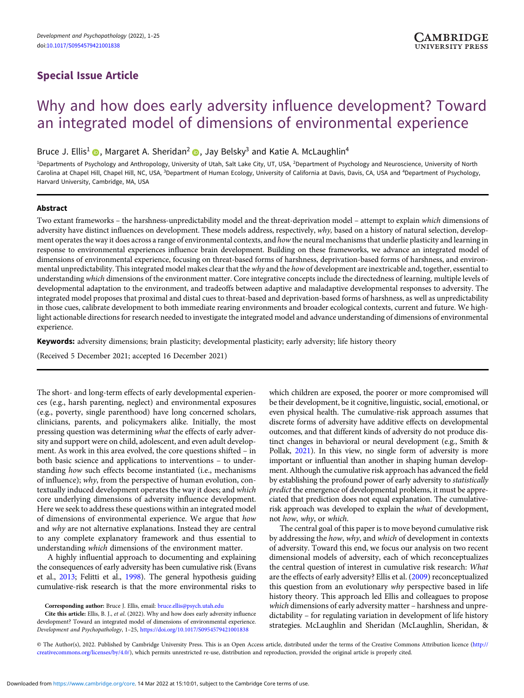# Special Issue Article

# Why and how does early adversity influence development? Toward an integrated model of dimensions of environmental experience

Bruce J. Ellis<sup>1</sup> **(b**, Margaret A. Sheridan<sup>2</sup> **(b**, Jay Belsky<sup>3</sup> and Katie A. McLaughlin<sup>4</sup>

<sup>1</sup>Departments of Psychology and Anthropology, University of Utah, Salt Lake City, UT, USA, <sup>2</sup>Department of Psychology and Neuroscience, University of North Carolina at Chapel Hill, Chapel Hill, NC, USA, <sup>3</sup>Department of Human Ecology, University of California at Davis, Davis, CA, USA and <sup>4</sup>Department of Psychology, Harvard University, Cambridge, MA, USA

# Abstract

Two extant frameworks – the harshness-unpredictability model and the threat-deprivation model – attempt to explain which dimensions of adversity have distinct influences on development. These models address, respectively, why, based on a history of natural selection, development operates the way it does across a range of environmental contexts, and how the neural mechanisms that underlie plasticity and learning in response to environmental experiences influence brain development. Building on these frameworks, we advance an integrated model of dimensions of environmental experience, focusing on threat-based forms of harshness, deprivation-based forms of harshness, and environmental unpredictability. This integrated model makes clear that the why and the how of development are inextricable and, together, essential to understanding which dimensions of the environment matter. Core integrative concepts include the directedness of learning, multiple levels of developmental adaptation to the environment, and tradeoffs between adaptive and maladaptive developmental responses to adversity. The integrated model proposes that proximal and distal cues to threat-based and deprivation-based forms of harshness, as well as unpredictability in those cues, calibrate development to both immediate rearing environments and broader ecological contexts, current and future. We highlight actionable directions for research needed to investigate the integrated model and advance understanding of dimensions of environmental experience.

Keywords: adversity dimensions; brain plasticity; developmental plasticity; early adversity; life history theory

(Received 5 December 2021; accepted 16 December 2021)

The short- and long-term effects of early developmental experiences (e.g., harsh parenting, neglect) and environmental exposures (e.g., poverty, single parenthood) have long concerned scholars, clinicians, parents, and policymakers alike. Initially, the most pressing question was determining what the effects of early adversity and support were on child, adolescent, and even adult development. As work in this area evolved, the core questions shifted – in both basic science and applications to interventions – to understanding how such effects become instantiated (i.e., mechanisms of influence); why, from the perspective of human evolution, contextually induced development operates the way it does; and which core underlying dimensions of adversity influence development. Here we seek to address these questions within an integrated model of dimensions of environmental experience. We argue that how and why are not alternative explanations. Instead they are central to any complete explanatory framework and thus essential to understanding which dimensions of the environment matter.

A highly influential approach to documenting and explaining the consequences of early adversity has been cumulative risk (Evans et al., [2013](#page-20-0); Felitti et al., [1998](#page-20-0)). The general hypothesis guiding cumulative-risk research is that the more environmental risks to

Corresponding author: Bruce J. Ellis, email: [bruce.ellis@psych.utah.edu](mailto:bruce.ellis@psych.utah.edu)

Cite this article: Ellis, B. J., et al. (2022). Why and how does early adversity influence development? Toward an integrated model of dimensions of environmental experience. Development and Psychopathology, 1–25, <https://doi.org/10.1017/S0954579421001838>

which children are exposed, the poorer or more compromised will be their development, be it cognitive, linguistic, social, emotional, or even physical health. The cumulative-risk approach assumes that discrete forms of adversity have additive effects on developmental outcomes, and that different kinds of adversity do not produce distinct changes in behavioral or neural development (e.g., Smith & Pollak, [2021](#page-23-0)). In this view, no single form of adversity is more important or influential than another in shaping human development. Although the cumulative risk approach has advanced the field by establishing the profound power of early adversity to statistically predict the emergence of developmental problems, it must be appreciated that prediction does not equal explanation. The cumulativerisk approach was developed to explain the what of development, not how, why, or which.

The central goal of this paper is to move beyond cumulative risk by addressing the how, why, and which of development in contexts of adversity. Toward this end, we focus our analysis on two recent dimensional models of adversity, each of which reconceptualizes the central question of interest in cumulative risk research: What are the effects of early adversity? Ellis et al. ([2009](#page-20-0)) reconceptualized this question from an evolutionary why perspective based in life history theory. This approach led Ellis and colleagues to propose which dimensions of early adversity matter – harshness and unpredictability – for regulating variation in development of life history strategies. McLaughlin and Sheridan (McLaughlin, Sheridan, &

© The Author(s), 2022. Published by Cambridge University Press. This is an Open Access article, distributed under the terms of the Creative Commons Attribution licence [\(http://](http://creativecommons.org/licenses/by/4.0/) [creativecommons.org/licenses/by/4.0/](http://creativecommons.org/licenses/by/4.0/)), which permits unrestricted re-use, distribution and reproduction, provided the original article is properly cited.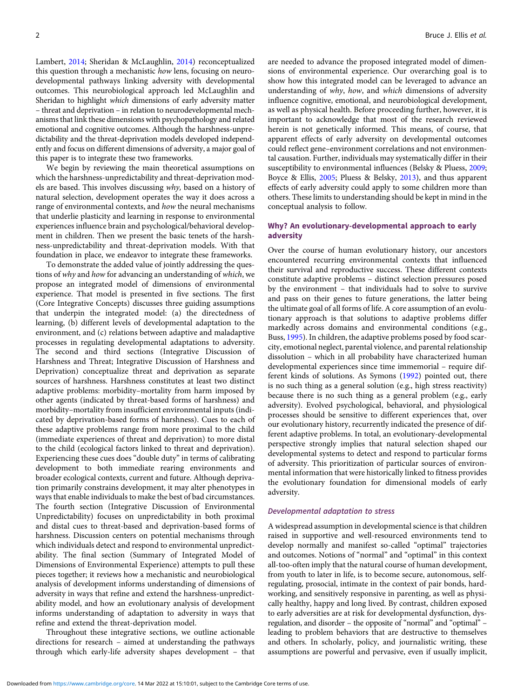Lambert, [2014](#page-22-0); Sheridan & McLaughlin, [2014\)](#page-23-0) reconceptualized this question through a mechanistic how lens, focusing on neurodevelopmental pathways linking adversity with developmental outcomes. This neurobiological approach led McLaughlin and Sheridan to highlight which dimensions of early adversity matter – threat and deprivation – in relation to neurodevelopmental mechanisms that link these dimensions with psychopathology and related emotional and cognitive outcomes. Although the harshness-unpredictability and the threat-deprivation models developed independently and focus on different dimensions of adversity, a major goal of this paper is to integrate these two frameworks.

We begin by reviewing the main theoretical assumptions on which the harshness-unpredictability and threat-deprivation models are based. This involves discussing why, based on a history of natural selection, development operates the way it does across a range of environmental contexts, and how the neural mechanisms that underlie plasticity and learning in response to environmental experiences influence brain and psychological/behavioral development in children. Then we present the basic tenets of the harshness-unpredictability and threat-deprivation models. With that foundation in place, we endeavor to integrate these frameworks.

To demonstrate the added value of jointly addressing the questions of why and how for advancing an understanding of which, we propose an integrated model of dimensions of environmental experience. That model is presented in five sections. The first (Core Integrative Concepts) discusses three guiding assumptions that underpin the integrated model: (a) the directedness of learning, (b) different levels of developmental adaptation to the environment, and (c) relations between adaptive and maladaptive processes in regulating developmental adaptations to adversity. The second and third sections (Integrative Discussion of Harshness and Threat; Integrative Discussion of Harshness and Deprivation) conceptualize threat and deprivation as separate sources of harshness. Harshness constitutes at least two distinct adaptive problems: morbidity–mortality from harm imposed by other agents (indicated by threat-based forms of harshness) and morbidity–mortality from insufficient environmental inputs (indicated by deprivation-based forms of harshness). Cues to each of these adaptive problems range from more proximal to the child (immediate experiences of threat and deprivation) to more distal to the child (ecological factors linked to threat and deprivation). Experiencing these cues does "double duty" in terms of calibrating development to both immediate rearing environments and broader ecological contexts, current and future. Although deprivation primarily constrains development, it may alter phenotypes in ways that enable individuals to make the best of bad circumstances. The fourth section (Integrative Discussion of Environmental Unpredictability) focuses on unpredictability in both proximal and distal cues to threat-based and deprivation-based forms of harshness. Discussion centers on potential mechanisms through which individuals detect and respond to environmental unpredictability. The final section (Summary of Integrated Model of Dimensions of Environmental Experience) attempts to pull these pieces together; it reviews how a mechanistic and neurobiological analysis of development informs understanding of dimensions of adversity in ways that refine and extend the harshness-unpredictability model, and how an evolutionary analysis of development informs understanding of adaptation to adversity in ways that refine and extend the threat-deprivation model.

Throughout these integrative sections, we outline actionable directions for research – aimed at understanding the pathways through which early-life adversity shapes development – that

are needed to advance the proposed integrated model of dimensions of environmental experience. Our overarching goal is to show how this integrated model can be leveraged to advance an understanding of why, how, and which dimensions of adversity influence cognitive, emotional, and neurobiological development, as well as physical health. Before proceeding further, however, it is important to acknowledge that most of the research reviewed herein is not genetically informed. This means, of course, that apparent effects of early adversity on developmental outcomes could reflect gene–environment correlations and not environmental causation. Further, individuals may systematically differ in their susceptibility to environmental influences (Belsky & Pluess, [2009](#page-19-0); Boyce & Ellis, [2005](#page-19-0); Pluess & Belsky, [2013\)](#page-23-0), and thus apparent effects of early adversity could apply to some children more than others. These limits to understanding should be kept in mind in the conceptual analysis to follow.

# Why? An evolutionary-developmental approach to early adversity

Over the course of human evolutionary history, our ancestors encountered recurring environmental contexts that influenced their survival and reproductive success. These different contexts constitute adaptive problems – distinct selection pressures posed by the environment – that individuals had to solve to survive and pass on their genes to future generations, the latter being the ultimate goal of all forms of life. A core assumption of an evolutionary approach is that solutions to adaptive problems differ markedly across domains and environmental conditions (e.g., Buss, [1995](#page-19-0)). In children, the adaptive problems posed by food scarcity, emotional neglect, parental violence, and parental relationship dissolution – which in all probability have characterized human developmental experiences since time immemorial – require different kinds of solutions. As Symons [\(1992\)](#page-24-0) pointed out, there is no such thing as a general solution (e.g., high stress reactivity) because there is no such thing as a general problem (e.g., early adversity). Evolved psychological, behavioral, and physiological processes should be sensitive to different experiences that, over our evolutionary history, recurrently indicated the presence of different adaptive problems. In total, an evolutionary-developmental perspective strongly implies that natural selection shaped our developmental systems to detect and respond to particular forms of adversity. This prioritization of particular sources of environmental information that were historically linked to fitness provides the evolutionary foundation for dimensional models of early adversity.

### Developmental adaptation to stress

A widespread assumption in developmental science is that children raised in supportive and well-resourced environments tend to develop normally and manifest so-called "optimal" trajectories and outcomes. Notions of "normal" and "optimal" in this context all-too-often imply that the natural course of human development, from youth to later in life, is to become secure, autonomous, selfregulating, prosocial, intimate in the context of pair bonds, hardworking, and sensitively responsive in parenting, as well as physically healthy, happy and long lived. By contrast, children exposed to early adversities are at risk for developmental dysfunction, dysregulation, and disorder – the opposite of "normal" and "optimal" – leading to problem behaviors that are destructive to themselves and others. In scholarly, policy, and journalistic writing, these assumptions are powerful and pervasive, even if usually implicit,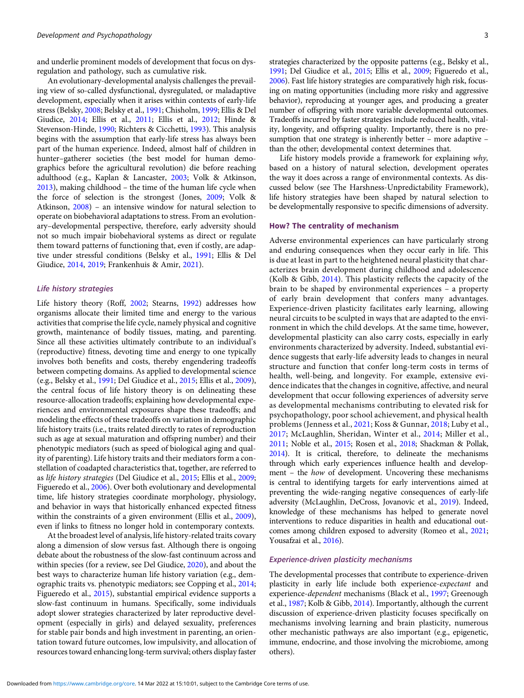and underlie prominent models of development that focus on dysregulation and pathology, such as cumulative risk.

An evolutionary-developmental analysis challenges the prevailing view of so-called dysfunctional, dysregulated, or maladaptive development, especially when it arises within contexts of early-life stress (Belsky, [2008](#page-19-0); Belsky et al., [1991](#page-19-0); Chisholm, [1999](#page-19-0); Ellis & Del Giudice, [2014](#page-20-0); Ellis et al., [2011](#page-20-0); Ellis et al., [2012;](#page-20-0) Hinde & Stevenson-Hinde, [1990](#page-21-0); Richters & Cicchetti, [1993](#page-23-0)). This analysis begins with the assumption that early-life stress has always been part of the human experience. Indeed, almost half of children in hunter–gatherer societies (the best model for human demographics before the agricultural revolution) die before reaching adulthood (e.g., Kaplan & Lancaster, [2003;](#page-21-0) Volk & Atkinson, [2013](#page-24-0)), making childhood – the time of the human life cycle when the force of selection is the strongest (Jones, [2009;](#page-21-0) Volk & Atkinson, [2008](#page-24-0)) – an intensive window for natural selection to operate on biobehavioral adaptations to stress. From an evolutionary–developmental perspective, therefore, early adversity should not so much impair biobehavioral systems as direct or regulate them toward patterns of functioning that, even if costly, are adaptive under stressful conditions (Belsky et al., [1991;](#page-19-0) Ellis & Del Giudice, [2014,](#page-20-0) [2019;](#page-20-0) Frankenhuis & Amir, [2021](#page-20-0)).

# Life history strategies

Life history theory (Roff, [2002](#page-23-0); Stearns, [1992\)](#page-24-0) addresses how organisms allocate their limited time and energy to the various activities that comprise the life cycle, namely physical and cognitive growth, maintenance of bodily tissues, mating, and parenting. Since all these activities ultimately contribute to an individual's (reproductive) fitness, devoting time and energy to one typically involves both benefits and costs, thereby engendering tradeoffs between competing domains. As applied to developmental science (e.g., Belsky et al., [1991;](#page-19-0) Del Giudice et al., [2015](#page-20-0); Ellis et al., [2009\)](#page-20-0), the central focus of life history theory is on delineating these resource-allocation tradeoffs; explaining how developmental experiences and environmental exposures shape these tradeoffs; and modeling the effects of these tradeoffs on variation in demographic life history traits (i.e., traits related directly to rates of reproduction such as age at sexual maturation and offspring number) and their phenotypic mediators (such as speed of biological aging and quality of parenting). Life history traits and their mediators form a constellation of coadapted characteristics that, together, are referred to as life history strategies (Del Giudice et al., [2015](#page-20-0); Ellis et al., [2009;](#page-20-0) Figueredo et al., [2006\)](#page-20-0). Over both evolutionary and developmental time, life history strategies coordinate morphology, physiology, and behavior in ways that historically enhanced expected fitness within the constraints of a given environment (Ellis et al., [2009\)](#page-20-0), even if links to fitness no longer hold in contemporary contexts.

At the broadest level of analysis, life history-related traits covary along a dimension of slow versus fast. Although there is ongoing debate about the robustness of the slow-fast continuum across and within species (for a review, see Del Giudice, [2020](#page-20-0)), and about the best ways to characterize human life history variation (e.g., demographic traits vs. phenotypic mediators; see Copping et al., [2014;](#page-19-0) Figueredo et al., [2015\)](#page-20-0), substantial empirical evidence supports a slow-fast continuum in humans. Specifically, some individuals adopt slower strategies characterized by later reproductive development (especially in girls) and delayed sexuality, preferences for stable pair bonds and high investment in parenting, an orientation toward future outcomes, low impulsivity, and allocation of resources toward enhancing long-term survival; others display faster

strategies characterized by the opposite patterns (e.g., Belsky et al., [1991;](#page-19-0) Del Giudice et al., [2015;](#page-20-0) Ellis et al., [2009;](#page-20-0) Figueredo et al., [2006\)](#page-20-0). Fast life history strategies are comparatively high risk, focusing on mating opportunities (including more risky and aggressive behavior), reproducing at younger ages, and producing a greater number of offspring with more variable developmental outcomes. Tradeoffs incurred by faster strategies include reduced health, vitality, longevity, and offspring quality. Importantly, there is no presumption that one strategy is inherently better – more adaptive – than the other; developmental context determines that.

Life history models provide a framework for explaining why, based on a history of natural selection, development operates the way it does across a range of environmental contexts. As discussed below (see The Harshness-Unpredictability Framework), life history strategies have been shaped by natural selection to be developmentally responsive to specific dimensions of adversity.

# How? The centrality of mechanism

Adverse environmental experiences can have particularly strong and enduring consequences when they occur early in life. This is due at least in part to the heightened neural plasticity that characterizes brain development during childhood and adolescence (Kolb & Gibb, [2014](#page-21-0)). This plasticity reflects the capacity of the brain to be shaped by environmental experiences – a property of early brain development that confers many advantages. Experience-driven plasticity facilitates early learning, allowing neural circuits to be sculpted in ways that are adapted to the environment in which the child develops. At the same time, however, developmental plasticity can also carry costs, especially in early environments characterized by adversity. Indeed, substantial evidence suggests that early-life adversity leads to changes in neural structure and function that confer long-term costs in terms of health, well-being, and longevity. For example, extensive evidence indicates that the changes in cognitive, affective, and neural development that occur following experiences of adversity serve as developmental mechanisms contributing to elevated risk for psychopathology, poor school achievement, and physical health problems (Jenness et al., [2021](#page-21-0); Koss & Gunnar, [2018;](#page-21-0) Luby et al., [2017](#page-22-0); McLaughlin, Sheridan, Winter et al., [2014](#page-22-0); Miller et al., [2011](#page-22-0); Noble et al., [2015;](#page-22-0) Rosen et al., [2018](#page-23-0); Shackman & Pollak, [2014\)](#page-23-0). It is critical, therefore, to delineate the mechanisms through which early experiences influence health and development – the how of development. Uncovering these mechanisms is central to identifying targets for early interventions aimed at preventing the wide-ranging negative consequences of early-life adversity (McLaughlin, DeCross, Jovanovic et al., [2019](#page-22-0)). Indeed, knowledge of these mechanisms has helped to generate novel interventions to reduce disparities in health and educational outcomes among children exposed to adversity (Romeo et al., [2021;](#page-23-0) Yousafzai et al., [2016](#page-24-0)).

# Experience-driven plasticity mechanisms

The developmental processes that contribute to experience-driven plasticity in early life include both experience-expectant and experience-dependent mechanisms (Black et al., [1997;](#page-19-0) Greenough et al., [1987;](#page-21-0) Kolb & Gibb, [2014](#page-21-0)). Importantly, although the current discussion of experience-driven plasticity focuses specifically on mechanisms involving learning and brain plasticity, numerous other mechanistic pathways are also important (e.g., epigenetic, immune, endocrine, and those involving the microbiome, among others).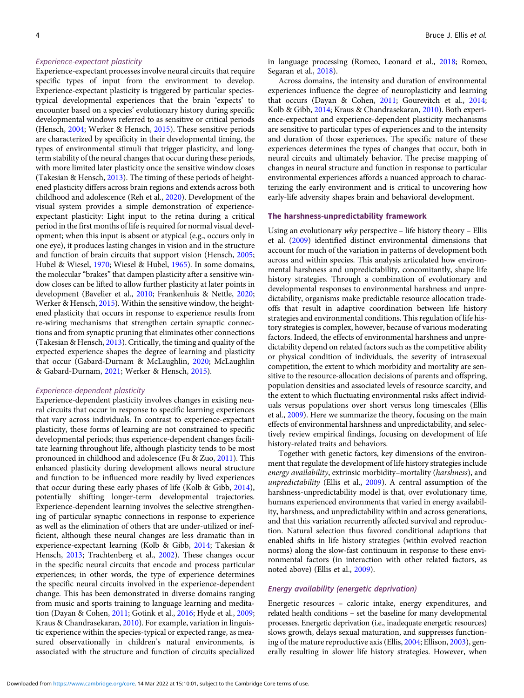### Experience-expectant plasticity

Experience-expectant processes involve neural circuits that require specific types of input from the environment to develop. Experience-expectant plasticity is triggered by particular speciestypical developmental experiences that the brain 'expects' to encounter based on a species' evolutionary history during specific developmental windows referred to as sensitive or critical periods (Hensch, [2004;](#page-21-0) Werker & Hensch, [2015](#page-24-0)). These sensitive periods are characterized by specificity in their developmental timing, the types of environmental stimuli that trigger plasticity, and longterm stability of the neural changes that occur during these periods, with more limited later plasticity once the sensitive window closes (Takesian & Hensch, [2013\)](#page-24-0). The timing of these periods of heightened plasticity differs across brain regions and extends across both childhood and adolescence (Reh et al., [2020](#page-23-0)). Development of the visual system provides a simple demonstration of experienceexpectant plasticity: Light input to the retina during a critical period in the first months of life is required for normal visual development; when this input is absent or atypical (e.g., occurs only in one eye), it produces lasting changes in vision and in the structure and function of brain circuits that support vision (Hensch, [2005](#page-21-0); Hubel & Wiesel, [1970](#page-21-0); Wiesel & Hubel, [1965](#page-24-0)). In some domains, the molecular "brakes" that dampen plasticity after a sensitive window closes can be lifted to allow further plasticity at later points in development (Bavelier et al., [2010](#page-19-0); Frankenhuis & Nettle, [2020](#page-20-0); Werker & Hensch, [2015\)](#page-24-0). Within the sensitive window, the heightened plasticity that occurs in response to experience results from re-wiring mechanisms that strengthen certain synaptic connections and from synaptic pruning that eliminates other connections (Takesian & Hensch, [2013\)](#page-24-0). Critically, the timing and quality of the expected experience shapes the degree of learning and plasticity that occur (Gabard-Durnam & McLaughlin, [2020](#page-20-0); McLaughlin & Gabard-Durnam, [2021](#page-22-0); Werker & Hensch, [2015](#page-24-0)).

### Experience-dependent plasticity

Experience-dependent plasticity involves changes in existing neural circuits that occur in response to specific learning experiences that vary across individuals. In contrast to experience-expectant plasticity, these forms of learning are not constrained to specific developmental periods; thus experience-dependent changes facilitate learning throughout life, although plasticity tends to be most pronounced in childhood and adolescence (Fu & Zuo, [2011](#page-20-0)). This enhanced plasticity during development allows neural structure and function to be influenced more readily by lived experiences that occur during these early phases of life (Kolb & Gibb, [2014](#page-21-0)), potentially shifting longer-term developmental trajectories. Experience-dependent learning involves the selective strengthening of particular synaptic connections in response to experience as well as the elimination of others that are under-utilized or inefficient, although these neural changes are less dramatic than in experience-expectant learning (Kolb & Gibb, [2014;](#page-21-0) Takesian & Hensch, [2013;](#page-24-0) Trachtenberg et al., [2002\)](#page-24-0). These changes occur in the specific neural circuits that encode and process particular experiences; in other words, the type of experience determines the specific neural circuits involved in the experience-dependent change. This has been demonstrated in diverse domains ranging from music and sports training to language learning and meditation (Dayan & Cohen, [2011;](#page-19-0) Gotink et al., [2016;](#page-20-0) Hyde et al., [2009](#page-21-0); Kraus & Chandrasekaran, [2010\)](#page-21-0). For example, variation in linguistic experience within the species-typical or expected range, as measured observationally in children's natural environments, is associated with the structure and function of circuits specialized

in language processing (Romeo, Leonard et al., [2018;](#page-23-0) Romeo, Segaran et al., [2018\)](#page-23-0).

Across domains, the intensity and duration of environmental experiences influence the degree of neuroplasticity and learning that occurs (Dayan & Cohen, [2011](#page-19-0); Gourevitch et al., [2014](#page-21-0); Kolb & Gibb, [2014;](#page-21-0) Kraus & Chandrasekaran, [2010\)](#page-21-0). Both experience-expectant and experience-dependent plasticity mechanisms are sensitive to particular types of experiences and to the intensity and duration of those experiences. The specific nature of these experiences determines the types of changes that occur, both in neural circuits and ultimately behavior. The precise mapping of changes in neural structure and function in response to particular environmental experiences affords a nuanced approach to characterizing the early environment and is critical to uncovering how early-life adversity shapes brain and behavioral development.

# The harshness-unpredictability framework

Using an evolutionary why perspective – life history theory – Ellis et al. ([2009](#page-20-0)) identified distinct environmental dimensions that account for much of the variation in patterns of development both across and within species. This analysis articulated how environmental harshness and unpredictability, concomitantly, shape life history strategies. Through a combination of evolutionary and developmental responses to environmental harshness and unpredictability, organisms make predictable resource allocation tradeoffs that result in adaptive coordination between life history strategies and environmental conditions. This regulation of life history strategies is complex, however, because of various moderating factors. Indeed, the effects of environmental harshness and unpredictability depend on related factors such as the competitive ability or physical condition of individuals, the severity of intrasexual competition, the extent to which morbidity and mortality are sensitive to the resource-allocation decisions of parents and offspring, population densities and associated levels of resource scarcity, and the extent to which fluctuating environmental risks affect individuals versus populations over short versus long timescales (Ellis et al., [2009\)](#page-20-0). Here we summarize the theory, focusing on the main effects of environmental harshness and unpredictability, and selectively review empirical findings, focusing on development of life history-related traits and behaviors.

Together with genetic factors, key dimensions of the environment that regulate the development of life history strategies include energy availability, extrinsic morbidity–mortality (harshness), and unpredictability (Ellis et al., [2009\)](#page-20-0). A central assumption of the harshness-unpredictability model is that, over evolutionary time, humans experienced environments that varied in energy availability, harshness, and unpredictability within and across generations, and that this variation recurrently affected survival and reproduction. Natural selection thus favored conditional adaptions that enabled shifts in life history strategies (within evolved reaction norms) along the slow-fast continuum in response to these environmental factors (in interaction with other related factors, as noted above) (Ellis et al., [2009\)](#page-20-0).

# Energy availability (energetic deprivation)

Energetic resources – caloric intake, energy expenditures, and related health conditions – set the baseline for many developmental processes. Energetic deprivation (i.e., inadequate energetic resources) slows growth, delays sexual maturation, and suppresses functioning of the mature reproductive axis (Ellis, [2004;](#page-20-0) Ellison, [2003\)](#page-20-0), generally resulting in slower life history strategies. However, when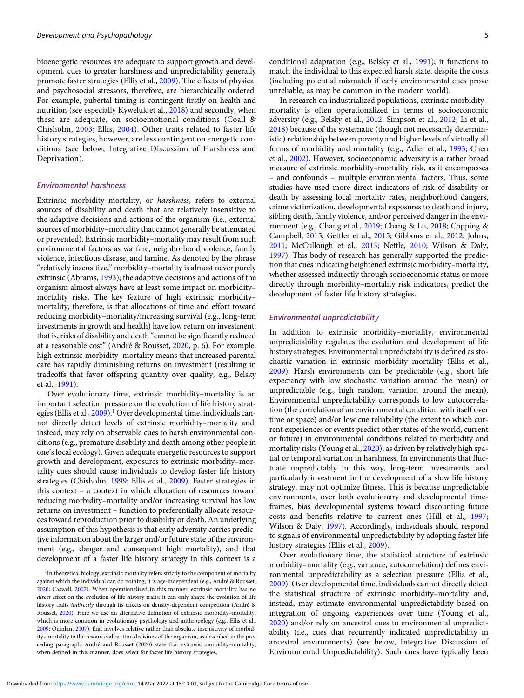bioenergetic resources are adequate to support growth and development, cues to greater harshness and unpredictability generally promote faster strategies (Ellis et al., [2009](#page-20-0)). The effects of physical and psychosocial stressors, therefore, are hierarchically ordered. For example, pubertal timing is contingent firstly on health and nutrition (see especially Kyweluk et al., [2018](#page-21-0)) and secondly, when these are adequate, on socioemotional conditions (Coall & Chisholm, [2003](#page-19-0); Ellis, [2004](#page-20-0)). Other traits related to faster life history strategies, however, are less contingent on energetic conditions (see below, Integrative Discussion of Harshness and Deprivation).

# Environmental harshness

Extrinsic morbidity–mortality, or harshness, refers to external sources of disability and death that are relatively insensitive to the adaptive decisions and actions of the organism (i.e., external sources of morbidity–mortality that cannot generally be attenuated or prevented). Extrinsic morbidity–mortality may result from such environmental factors as warfare, neighborhood violence, family violence, infectious disease, and famine. As denoted by the phrase "relatively insensitive," morbidity–mortality is almost never purely extrinsic (Abrams, [1993](#page-18-0)); the adaptive decisions and actions of the organism almost always have at least some impact on morbidity– mortality risks. The key feature of high extrinsic morbidity– mortality, therefore, is that allocations of time and effort toward reducing morbidity–mortality/increasing survival (e.g., long-term investments in growth and health) have low return on investment; that is, risks of disability and death "cannot be significantly reduced at a reasonable cost" (André & Rousset, [2020,](#page-18-0) p. 6). For example, high extrinsic morbidity–mortality means that increased parental care has rapidly diminishing returns on investment (resulting in tradeoffs that favor offspring quantity over quality; e.g., Belsky et al., [1991](#page-19-0)).

Over evolutionary time, extrinsic morbidity–mortality is an important selection pressure on the evolution of life history strat-egies (Ellis et al., [2009](#page-20-0)).<sup>1</sup> Over developmental time, individuals cannot directly detect levels of extrinsic morbidity–mortality and, instead, may rely on observable cues to harsh environmental conditions (e.g., premature disability and death among other people in one's local ecology). Given adequate energetic resources to support growth and development, exposures to extrinsic morbidity–mortality cues should cause individuals to develop faster life history strategies (Chisholm, [1999](#page-19-0); Ellis et al., [2009\)](#page-20-0). Faster strategies in this context – a context in which allocation of resources toward reducing morbidity–mortality and/or increasing survival has low returns on investment – function to preferentially allocate resources toward reproduction prior to disability or death. An underlying assumption of this hypothesis is that early adversity carries predictive information about the larger and/or future state of the environment (e.g., danger and consequent high mortality), and that development of a faster life history strategy in this context is a

<sup>1</sup>In theoretical biology, extrinsic mortality refers strictly to the component of mortality against which the individual can do nothing; it is age-independent (e.g., André & Rousset, [2020](#page-18-0); Caswell, [2007](#page-19-0)). When operationalized in this manner, extrinsic mortality has no direct effect on the evolution of life history traits; it can only shape the evolution of life history traits indirectly through its effects on density-dependent competition (André & Rousset, [2020](#page-18-0)). Here we use an alternative definition of extrinsic morbidity–mortality, which is more common in evolutionary psychology and anthropology (e.g., Ellis et al., [2009](#page-20-0); Quinlan, [2007](#page-23-0)), that involves relative rather than absolute insensitivity of morbidity–mortality to the resource-allocation decisions of the organism, as described in the preceding paragraph. André and Rousset [\(2020\)](#page-18-0) state that extrinsic morbidity–mortality, when defined in this manner, does select for faster life history strategies.

conditional adaptation (e.g., Belsky et al., [1991\)](#page-19-0); it functions to match the individual to this expected harsh state, despite the costs (including potential mismatch if early environmental cues prove unreliable, as may be common in the modern world).

In research on industrialized populations, extrinsic morbidity– mortality is often operationalized in terms of socioeconomic adversity (e.g., Belsky et al., [2012](#page-19-0); Simpson et al., [2012](#page-23-0); Li et al., [2018](#page-22-0)) because of the systematic (though not necessarily deterministic) relationship between poverty and higher levels of virtually all forms of morbidity and mortality (e.g., Adler et al., [1993](#page-18-0); Chen et al., [2002\)](#page-19-0). However, socioeconomic adversity is a rather broad measure of extrinsic morbidity–mortality risk, as it encompasses – and confounds – multiple environmental factors. Thus, some studies have used more direct indicators of risk of disability or death by assessing local mortality rates, neighborhood dangers, crime victimization, developmental exposures to death and injury, sibling death, family violence, and/or perceived danger in the environment (e.g., Chang et al., [2019;](#page-19-0) Chang & Lu, [2018;](#page-19-0) Copping & Campbell, [2015](#page-19-0); Gettler et al., [2015](#page-20-0); Gibbons et al., [2012](#page-20-0); Johns, [2011](#page-21-0); McCullough et al., [2013;](#page-22-0) Nettle, [2010](#page-22-0); Wilson & Daly, [1997](#page-24-0)). This body of research has generally supported the prediction that cues indicating heightened extrinsic morbidity–mortality, whether assessed indirectly through socioeconomic status or more directly through morbidity–mortality risk indicators, predict the development of faster life history strategies.

# Environmental unpredictability

In addition to extrinsic morbidity–mortality, environmental unpredictability regulates the evolution and development of life history strategies. Environmental unpredictability is defined as stochastic variation in extrinsic morbidity–mortality (Ellis et al., [2009](#page-20-0)). Harsh environments can be predictable (e.g., short life expectancy with low stochastic variation around the mean) or unpredictable (e.g., high random variation around the mean). Environmental unpredictability corresponds to low autocorrelation (the correlation of an environmental condition with itself over time or space) and/or low cue reliability (the extent to which current experiences or events predict other states of the world, current or future) in environmental conditions related to morbidity and mortality risks (Young et al., [2020](#page-24-0)), as driven by relatively high spatial or temporal variation in harshness. In environments that fluctuate unpredictably in this way, long-term investments, and particularly investment in the development of a slow life history strategy, may not optimize fitness. This is because unpredictable environments, over both evolutionary and developmental timeframes, bias developmental systems toward discounting future costs and benefits relative to current ones (Hill et al., [1997;](#page-21-0) Wilson & Daly, [1997\)](#page-24-0). Accordingly, individuals should respond to signals of environmental unpredictability by adopting faster life history strategies (Ellis et al., [2009\)](#page-20-0).

Over evolutionary time, the statistical structure of extrinsic morbidity–mortality (e.g., variance, autocorrelation) defines environmental unpredictability as a selection pressure (Ellis et al., [2009](#page-20-0)). Over developmental time, individuals cannot directly detect the statistical structure of extrinsic morbidity–mortality and, instead, may estimate environmental unpredictability based on integration of ongoing experiences over time (Young et al., [2020](#page-24-0)) and/or rely on ancestral cues to environmental unpredictability (i.e., cues that recurrently indicated unpredictability in ancestral environments) (see below, Integrative Discussion of Environmental Unpredictability). Such cues have typically been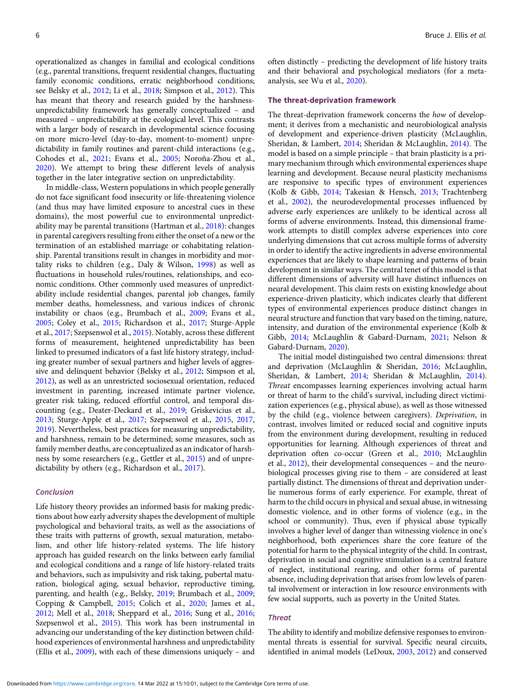operationalized as changes in familial and ecological conditions (e.g., parental transitions, frequent residential changes, fluctuating family economic conditions, erratic neighborhood conditions; see Belsky et al., [2012](#page-19-0); Li et al., [2018](#page-22-0); Simpson et al., [2012](#page-23-0)). This has meant that theory and research guided by the harshnessunpredictability framework has generally conceptualized – and measured – unpredictability at the ecological level. This contrasts with a larger body of research in developmental science focusing on more micro-level (day-to-day, moment-to-moment) unpredictability in family routines and parent-child interactions (e.g., Cohodes et al., [2021;](#page-19-0) Evans et al., [2005;](#page-20-0) Noroña-Zhou et al., [2020\)](#page-22-0). We attempt to bring these different levels of analysis together in the later integrative section on unpredictability.

In middle-class, Western populations in which people generally do not face significant food insecurity or life-threatening violence (and thus may have limited exposure to ancestral cues in these domains), the most powerful cue to environmental unpredictability may be parental transitions (Hartman et al., [2018\)](#page-21-0): changes in parental caregivers resulting from either the onset of a new or the termination of an established marriage or cohabitating relationship. Parental transitions result in changes in morbidity and mortality risks to children (e.g., Daly & Wilson, [1998](#page-19-0)) as well as fluctuations in household rules/routines, relationships, and economic conditions. Other commonly used measures of unpredictability include residential changes, parental job changes, family member deaths, homelessness, and various indices of chronic instability or chaos (e.g., Brumbach et al., [2009](#page-19-0); Evans et al., [2005;](#page-20-0) Coley et al., [2015](#page-19-0); Richardson et al., [2017;](#page-23-0) Sturge-Apple et al., [2017](#page-24-0); Szepsenwol et al., [2015](#page-24-0)). Notably, across these different forms of measurement, heightened unpredictability has been linked to presumed indicators of a fast life history strategy, including greater number of sexual partners and higher levels of aggressive and delinquent behavior (Belsky et al., [2012](#page-19-0); Simpson et al, [2012\)](#page-23-0), as well as an unrestricted sociosexual orientation, reduced investment in parenting, increased intimate partner violence, greater risk taking, reduced effortful control, and temporal discounting (e.g., Deater-Deckard et al., [2019](#page-19-0); Griskevicius et al., [2013;](#page-21-0) Sturge-Apple et al., [2017](#page-24-0); Szepsenwol et al., [2015,](#page-24-0) [2017](#page-24-0), [2019\)](#page-24-0). Nevertheless, best practices for measuring unpredictability, and harshness, remain to be determined; some measures, such as family member deaths, are conceptualized as an indicator of harshness by some researchers (e.g., Gettler et al., [2015](#page-20-0)) and of unpredictability by others (e.g., Richardson et al., [2017\)](#page-23-0).

### Conclusion

Life history theory provides an informed basis for making predictions about how early adversity shapes the development of multiple psychological and behavioral traits, as well as the associations of these traits with patterns of growth, sexual maturation, metabolism, and other life history-related systems. The life history approach has guided research on the links between early familial and ecological conditions and a range of life history-related traits and behaviors, such as impulsivity and risk taking, pubertal maturation, biological aging, sexual behavior, reproductive timing, parenting, and health (e.g., Belsky, [2019](#page-19-0); Brumbach et al., [2009](#page-19-0); Copping & Campbell, [2015](#page-19-0); Colich et al., [2020](#page-19-0); James et al., [2012;](#page-21-0) Mell et al., [2018](#page-22-0); Sheppard et al., [2016](#page-23-0); Sung et al., [2016](#page-24-0); Szepsenwol et al., [2015\)](#page-24-0). This work has been instrumental in advancing our understanding of the key distinction between childhood experiences of environmental harshness and unpredictability (Ellis et al., [2009](#page-20-0)), with each of these dimensions uniquely – and

often distinctly – predicting the development of life history traits and their behavioral and psychological mediators (for a metaanalysis, see Wu et al., [2020\)](#page-24-0).

### The threat-deprivation framework

The threat-deprivation framework concerns the how of development; it derives from a mechanistic and neurobiological analysis of development and experience-driven plasticity (McLaughlin, Sheridan, & Lambert, [2014;](#page-22-0) Sheridan & McLaughlin, [2014](#page-23-0)). The model is based on a simple principle – that brain plasticity is a primary mechanism through which environmental experiences shape learning and development. Because neural plasticity mechanisms are responsive to specific types of environment experiences (Kolb & Gibb, [2014;](#page-21-0) Takesian & Hensch, [2013;](#page-24-0) Trachtenberg et al., [2002\)](#page-24-0), the neurodevelopmental processes influenced by adverse early experiences are unlikely to be identical across all forms of adverse environments. Instead, this dimensional framework attempts to distill complex adverse experiences into core underlying dimensions that cut across multiple forms of adversity in order to identify the active ingredients in adverse environmental experiences that are likely to shape learning and patterns of brain development in similar ways. The central tenet of this model is that different dimensions of adversity will have distinct influences on neural development. This claim rests on existing knowledge about experience-driven plasticity, which indicates clearly that different types of environmental experiences produce distinct changes in neural structure and function that vary based on the timing, nature, intensity, and duration of the environmental experience (Kolb & Gibb, [2014;](#page-21-0) McLaughlin & Gabard-Durnam, [2021;](#page-22-0) Nelson & Gabard-Durnam, [2020\)](#page-22-0).

The initial model distinguished two central dimensions: threat and deprivation (McLaughlin & Sheridan, [2016](#page-22-0); McLaughlin, Sheridan, & Lambert, [2014](#page-22-0); Sheridan & McLaughlin, [2014](#page-23-0)). Threat encompasses learning experiences involving actual harm or threat of harm to the child's survival, including direct victimization experiences (e.g., physical abuse), as well as those witnessed by the child (e.g., violence between caregivers). Deprivation, in contrast, involves limited or reduced social and cognitive inputs from the environment during development, resulting in reduced opportunities for learning. Although experiences of threat and deprivation often co-occur (Green et al., [2010](#page-21-0); McLaughlin et al., [2012](#page-22-0)), their developmental consequences – and the neurobiological processes giving rise to them – are considered at least partially distinct. The dimensions of threat and deprivation underlie numerous forms of early experience. For example, threat of harm to the child occurs in physical and sexual abuse, in witnessing domestic violence, and in other forms of violence (e.g., in the school or community). Thus, even if physical abuse typically involves a higher level of danger than witnessing violence in one's neighborhood, both experiences share the core feature of the potential for harm to the physical integrity of the child. In contrast, deprivation in social and cognitive stimulation is a central feature of neglect, institutional rearing, and other forms of parental absence, including deprivation that arises from low levels of parental involvement or interaction in low resource environments with few social supports, such as poverty in the United States.

### **Threat**

The ability to identify and mobilize defensive responses to environmental threats is essential for survival. Specific neural circuits, identified in animal models (LeDoux, [2003](#page-21-0), [2012](#page-21-0)) and conserved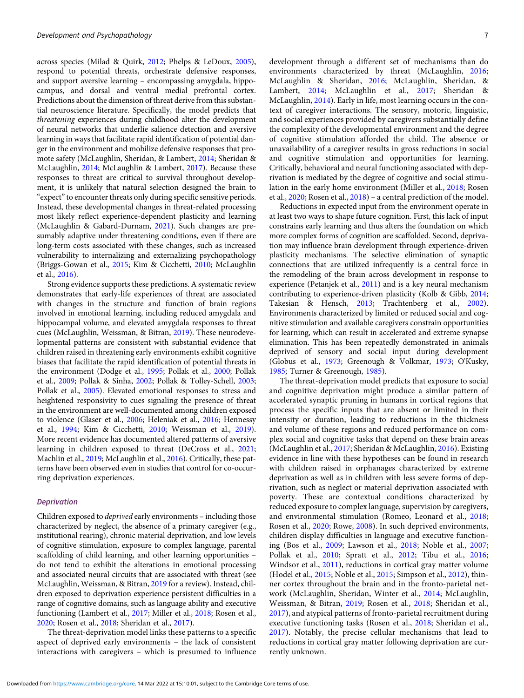across species (Milad & Quirk, [2012;](#page-22-0) Phelps & LeDoux, [2005\)](#page-23-0), respond to potential threats, orchestrate defensive responses, and support aversive learning – encompassing amygdala, hippocampus, and dorsal and ventral medial prefrontal cortex. Predictions about the dimension of threat derive from this substantial neuroscience literature. Specifically, the model predicts that threatening experiences during childhood alter the development of neural networks that underlie salience detection and aversive learning in ways that facilitate rapid identification of potential danger in the environment and mobilize defensive responses that promote safety (McLaughlin, Sheridan, & Lambert, [2014;](#page-22-0) Sheridan & McLaughlin, [2014](#page-23-0); McLaughlin & Lambert, [2017](#page-22-0)). Because these responses to threat are critical to survival throughout development, it is unlikely that natural selection designed the brain to "expect" to encounter threats only during specific sensitive periods. Instead, these developmental changes in threat-related processing most likely reflect experience-dependent plasticity and learning (McLaughlin & Gabard-Durnam, [2021](#page-22-0)). Such changes are presumably adaptive under threatening conditions, even if there are long-term costs associated with these changes, such as increased vulnerability to internalizing and externalizing psychopathology (Briggs-Gowan et al., [2015;](#page-19-0) Kim & Cicchetti, [2010](#page-21-0); McLaughlin et al., [2016](#page-22-0)).

Strong evidence supports these predictions. A systematic review demonstrates that early-life experiences of threat are associated with changes in the structure and function of brain regions involved in emotional learning, including reduced amygdala and hippocampal volume, and elevated amygdala responses to threat cues (McLaughlin, Weissman, & Bitran, [2019](#page-22-0)). These neurodevelopmental patterns are consistent with substantial evidence that children raised in threatening early environments exhibit cognitive biases that facilitate the rapid identification of potential threats in the environment (Dodge et al., [1995](#page-20-0); Pollak et al., [2000;](#page-23-0) Pollak et al., [2009;](#page-23-0) Pollak & Sinha, [2002;](#page-23-0) Pollak & Tolley-Schell, [2003;](#page-23-0) Pollak et al., [2005\)](#page-23-0). Elevated emotional responses to stress and heightened responsivity to cues signaling the presence of threat in the environment are well-documented among children exposed to violence (Glaser et al., [2006](#page-20-0); Heleniak et al., [2016](#page-21-0); Hennessy et al., [1994;](#page-21-0) Kim & Cicchetti, [2010;](#page-21-0) Weissman et al., [2019\)](#page-24-0). More recent evidence has documented altered patterns of aversive learning in children exposed to threat (DeCross et al., [2021;](#page-19-0) Machlin et al., [2019;](#page-22-0) McLaughlin et al., [2016\)](#page-22-0). Critically, these patterns have been observed even in studies that control for co-occurring deprivation experiences.

### **Deprivation**

Children exposed to deprived early environments – including those characterized by neglect, the absence of a primary caregiver (e.g., institutional rearing), chronic material deprivation, and low levels of cognitive stimulation, exposure to complex language, parental scaffolding of child learning, and other learning opportunities – do not tend to exhibit the alterations in emotional processing and associated neural circuits that are associated with threat (see McLaughlin, Weissman, & Bitran, [2019](#page-22-0) for a review). Instead, children exposed to deprivation experience persistent difficulties in a range of cognitive domains, such as language ability and executive functioning (Lambert et al., [2017](#page-21-0); Miller et al., [2018;](#page-22-0) Rosen et al., [2020](#page-23-0); Rosen et al., [2018;](#page-23-0) Sheridan et al., [2017\)](#page-23-0).

The threat-deprivation model links these patterns to a specific aspect of deprived early environments – the lack of consistent interactions with caregivers – which is presumed to influence development through a different set of mechanisms than do environments characterized by threat (McLaughlin, [2016;](#page-22-0) McLaughlin & Sheridan, [2016;](#page-22-0) McLaughlin, Sheridan, & Lambert, [2014;](#page-22-0) McLaughlin et al., [2017;](#page-22-0) Sheridan & McLaughlin, [2014\)](#page-23-0). Early in life, most learning occurs in the context of caregiver interactions. The sensory, motoric, linguistic, and social experiences provided by caregivers substantially define the complexity of the developmental environment and the degree of cognitive stimulation afforded the child. The absence or unavailability of a caregiver results in gross reductions in social and cognitive stimulation and opportunities for learning. Critically, behavioral and neural functioning associated with deprivation is mediated by the degree of cognitive and social stimulation in the early home environment (Miller et al., [2018;](#page-22-0) Rosen et al., [2020](#page-23-0); Rosen et al., [2018](#page-23-0)) – a central prediction of the model.

Reductions in expected input from the environment operate in at least two ways to shape future cognition. First, this lack of input constrains early learning and thus alters the foundation on which more complex forms of cognition are scaffolded. Second, deprivation may influence brain development through experience-driven plasticity mechanisms. The selective elimination of synaptic connections that are utilized infrequently is a central force in the remodeling of the brain across development in response to experience (Petanjek et al., [2011](#page-23-0)) and is a key neural mechanism contributing to experience-driven plasticity (Kolb & Gibb, [2014;](#page-21-0) Takesian & Hensch, [2013;](#page-24-0) Trachtenberg et al., [2002\)](#page-24-0). Environments characterized by limited or reduced social and cognitive stimulation and available caregivers constrain opportunities for learning, which can result in accelerated and extreme synapse elimination. This has been repeatedly demonstrated in animals deprived of sensory and social input during development (Globus et al., [1973](#page-20-0); Greenough & Volkmar, [1973](#page-21-0); O'Kusky, [1985](#page-22-0); Turner & Greenough, [1985](#page-24-0)).

The threat-deprivation model predicts that exposure to social and cognitive deprivation might produce a similar pattern of accelerated synaptic pruning in humans in cortical regions that process the specific inputs that are absent or limited in their intensity or duration, leading to reductions in the thickness and volume of these regions and reduced performance on complex social and cognitive tasks that depend on these brain areas (McLaughlin et al., [2017](#page-22-0); Sheridan & McLaughlin, [2016](#page-23-0)). Existing evidence in line with these hypotheses can be found in research with children raised in orphanages characterized by extreme deprivation as well as in children with less severe forms of deprivation, such as neglect or material deprivation associated with poverty. These are contextual conditions characterized by reduced exposure to complex language, supervision by caregivers, and environmental stimulation (Romeo, Leonard et al., [2018;](#page-23-0) Rosen et al., [2020](#page-23-0); Rowe, [2008](#page-23-0)). In such deprived environments, children display difficulties in language and executive functioning (Bos et al., [2009;](#page-19-0) Lawson et al., [2018](#page-21-0); Noble et al., [2007;](#page-22-0) Pollak et al., [2010](#page-23-0); Spratt et al., [2012](#page-24-0); Tibu et al., [2016;](#page-24-0) Windsor et al., [2011\)](#page-24-0), reductions in cortical gray matter volume (Hodel et al., [2015](#page-21-0); Noble et al., [2015;](#page-22-0) Simpson et al., [2012](#page-23-0)), thinner cortex throughout the brain and in the fronto-parietal network (McLaughlin, Sheridan, Winter et al., [2014](#page-22-0); McLaughlin, Weissman, & Bitran, [2019;](#page-22-0) Rosen et al., [2018](#page-23-0); Sheridan et al., [2017\)](#page-23-0), and atypical patterns of fronto-parietal recruitment during executive functioning tasks (Rosen et al., [2018](#page-23-0); Sheridan et al., [2017\)](#page-23-0). Notably, the precise cellular mechanisms that lead to reductions in cortical gray matter following deprivation are currently unknown.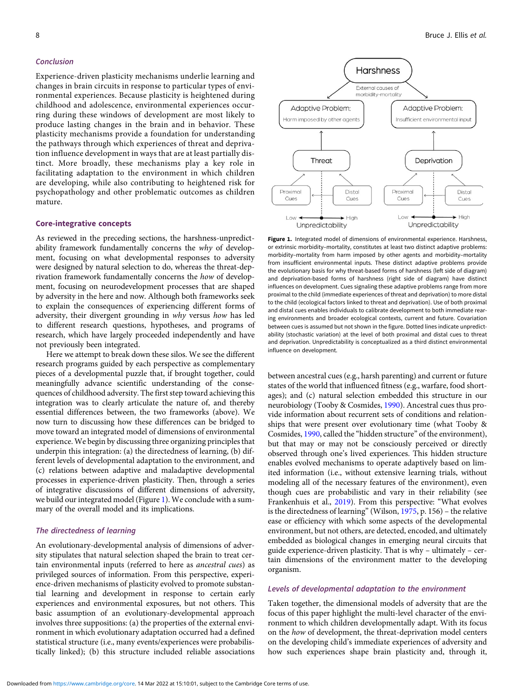# <span id="page-7-0"></span>Conclusion

Experience-driven plasticity mechanisms underlie learning and changes in brain circuits in response to particular types of environmental experiences. Because plasticity is heightened during childhood and adolescence, environmental experiences occurring during these windows of development are most likely to produce lasting changes in the brain and in behavior. These plasticity mechanisms provide a foundation for understanding the pathways through which experiences of threat and deprivation influence development in ways that are at least partially distinct. More broadly, these mechanisms play a key role in facilitating adaptation to the environment in which children are developing, while also contributing to heightened risk for psychopathology and other problematic outcomes as children mature.

### Core-integrative concepts

As reviewed in the preceding sections, the harshness-unpredictability framework fundamentally concerns the why of development, focusing on what developmental responses to adversity were designed by natural selection to do, whereas the threat-deprivation framework fundamentally concerns the how of development, focusing on neurodevelopment processes that are shaped by adversity in the here and now. Although both frameworks seek to explain the consequences of experiencing different forms of adversity, their divergent grounding in why versus how has led to different research questions, hypotheses, and programs of research, which have largely proceeded independently and have not previously been integrated.

Here we attempt to break down these silos. We see the different research programs guided by each perspective as complementary pieces of a developmental puzzle that, if brought together, could meaningfully advance scientific understanding of the consequences of childhood adversity. The first step toward achieving this integration was to clearly articulate the nature of, and thereby essential differences between, the two frameworks (above). We now turn to discussing how these differences can be bridged to move toward an integrated model of dimensions of environmental experience. We begin by discussing three organizing principles that underpin this integration: (a) the directedness of learning, (b) different levels of developmental adaptation to the environment, and (c) relations between adaptive and maladaptive developmental processes in experience-driven plasticity. Then, through a series of integrative discussions of different dimensions of adversity, we build our integrated model (Figure 1). We conclude with a summary of the overall model and its implications.

# The directedness of learning

An evolutionary-developmental analysis of dimensions of adversity stipulates that natural selection shaped the brain to treat certain environmental inputs (referred to here as ancestral cues) as privileged sources of information. From this perspective, experience-driven mechanisms of plasticity evolved to promote substantial learning and development in response to certain early experiences and environmental exposures, but not others. This basic assumption of an evolutionary-developmental approach involves three suppositions: (a) the properties of the external environment in which evolutionary adaptation occurred had a defined statistical structure (i.e., many events/experiences were probabilistically linked); (b) this structure included reliable associations



Figure 1. Integrated model of dimensions of environmental experience. Harshness, or extrinsic morbidity–mortality, constitutes at least two distinct adaptive problems: morbidity–mortality from harm imposed by other agents and morbidity–mortality from insufficient environmental inputs. These distinct adaptive problems provide the evolutionary basis for why threat-based forms of harshness (left side of diagram) and deprivation-based forms of harshness (right side of diagram) have distinct influences on development. Cues signaling these adaptive problems range from more proximal to the child (immediate experiences of threat and deprivation) to more distal to the child (ecological factors linked to threat and deprivation). Use of both proximal and distal cues enables individuals to calibrate development to both immediate rearing environments and broader ecological contexts, current and future. Covariation between cues is assumed but not shown in the figure. Dotted lines indicate unpredictability (stochastic variation) at the level of both proximal and distal cues to threat and deprivation. Unpredictability is conceptualized as a third distinct environmental influence on development.

between ancestral cues (e.g., harsh parenting) and current or future states of the world that influenced fitness (e.g., warfare, food shortages); and (c) natural selection embedded this structure in our neurobiology (Tooby & Cosmides, [1990\)](#page-24-0). Ancestral cues thus provide information about recurrent sets of conditions and relationships that were present over evolutionary time (what Tooby & Cosmides, [1990,](#page-24-0) called the "hidden structure" of the environment), but that may or may not be consciously perceived or directly observed through one's lived experiences. This hidden structure enables evolved mechanisms to operate adaptively based on limited information (i.e., without extensive learning trials, without modeling all of the necessary features of the environment), even though cues are probabilistic and vary in their reliability (see Frankenhuis et al., [2019\)](#page-20-0). From this perspective: "What evolves is the directedness of learning"(Wilson, [1975,](#page-24-0) p. 156) – the relative ease or efficiency with which some aspects of the developmental environment, but not others, are detected, encoded, and ultimately embedded as biological changes in emerging neural circuits that guide experience-driven plasticity. That is why – ultimately – certain dimensions of the environment matter to the developing organism.

# Levels of developmental adaptation to the environment

Taken together, the dimensional models of adversity that are the focus of this paper highlight the multi-level character of the environment to which children developmentally adapt. With its focus on the how of development, the threat-deprivation model centers on the developing child's immediate experiences of adversity and how such experiences shape brain plasticity and, through it,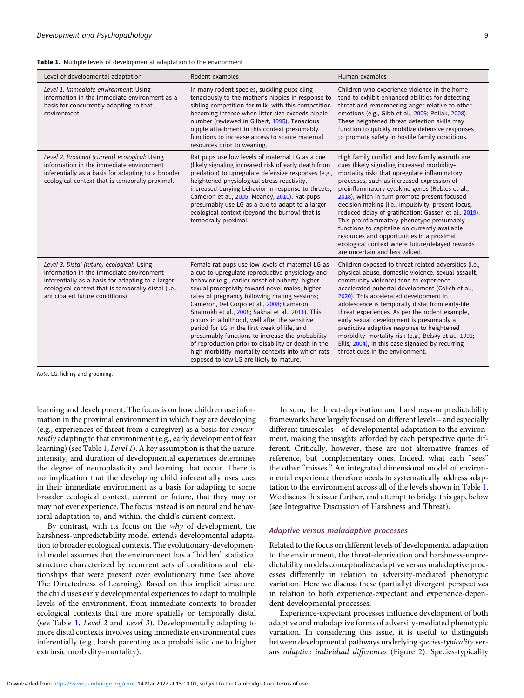<span id="page-8-0"></span>

| Level of developmental adaptation                                                                                                                                                                                                     | Rodent examples                                                                                                                                                                                                                                                                                                                                                                                                                                                                                                                                                                                                                                                          | Human examples                                                                                                                                                                                                                                                                                                                                                                                                                                                                                                                                                                                                                                |
|---------------------------------------------------------------------------------------------------------------------------------------------------------------------------------------------------------------------------------------|--------------------------------------------------------------------------------------------------------------------------------------------------------------------------------------------------------------------------------------------------------------------------------------------------------------------------------------------------------------------------------------------------------------------------------------------------------------------------------------------------------------------------------------------------------------------------------------------------------------------------------------------------------------------------|-----------------------------------------------------------------------------------------------------------------------------------------------------------------------------------------------------------------------------------------------------------------------------------------------------------------------------------------------------------------------------------------------------------------------------------------------------------------------------------------------------------------------------------------------------------------------------------------------------------------------------------------------|
| Level 1. Immediate environment: Using<br>information in the immediate environment as a<br>basis for concurrently adapting to that<br>environment                                                                                      | In many rodent species, suckling pups cling<br>tenaciously to the mother's nipples in response to<br>sibling competition for milk, with this competition<br>becoming intense when litter size exceeds nipple<br>number (reviewed in Gilbert, 1995). Tenacious<br>nipple attachment in this context presumably<br>functions to increase access to scarce maternal<br>resources prior to weaning.                                                                                                                                                                                                                                                                          | Children who experience violence in the home<br>tend to exhibit enhanced abilities for detecting<br>threat and remembering anger relative to other<br>emotions (e.g., Gibb et al., 2009; Pollak, 2008).<br>These heightened threat detection skills may<br>function to quickly mobilize defensive responses<br>to promote safety in hostile family conditions.                                                                                                                                                                                                                                                                                |
| Level 2. Proximal (current) ecological: Using<br>information in the immediate environment<br>inferentially as a basis for adapting to a broader<br>ecological context that is temporally proximal.                                    | Rat pups use low levels of maternal LG as a cue<br>(likely signaling increased risk of early death from<br>predation) to upregulate defensive responses (e.g.,<br>heightened physiological stress reactivity,<br>increased burying behavior in response to threats;<br>Cameron et al., 2005; Meaney, 2010). Rat pups<br>presumably use LG as a cue to adapt to a larger<br>ecological context (beyond the burrow) that is<br>temporally proximal.                                                                                                                                                                                                                        | High family conflict and low family warmth are<br>cues (likely signaling increased morbidity-<br>mortality risk) that upregulate inflammatory<br>processes, such as increased expression of<br>proinflammatory cytokine genes (Robles et al.,<br>2018), which in turn promote present-focused<br>decision making (i.e., impulsivity, present focus,<br>reduced delay of gratification; Gassen et al., 2019).<br>This proinflammatory phenotype presumably<br>functions to capitalize on currently available<br>resources and opportunities in a proximal<br>ecological context where future/delayed rewards<br>are uncertain and less valued. |
| Level 3. Distal (future) ecological: Using<br>information in the immediate environment<br>inferentially as a basis for adapting to a larger<br>ecological context that is temporally distal (i.e.,<br>anticipated future conditions). | Female rat pups use low levels of maternal LG as<br>a cue to upregulate reproductive physiology and<br>behavior (e.g., earlier onset of puberty, higher<br>sexual proceptivity toward novel males, higher<br>rates of pregnancy following mating sessions;<br>Cameron, Del Corpo et al., 2008; Cameron,<br>Shahrokh et al., 2008; Sakhai et al., 2011). This<br>occurs in adulthood, well after the sensitive<br>period for LG in the first week of life, and<br>presumably functions to increase the probability<br>of reproduction prior to disability or death in the<br>high morbidity-mortality contexts into which rats<br>exposed to low LG are likely to mature. | Children exposed to threat-related adversities (i.e.,<br>physical abuse, domestic violence, sexual assault,<br>community violence) tend to experience<br>accelerated pubertal development (Colich et al.,<br>2020). This accelerated development in<br>adolescence is temporally distal from early-life<br>threat experiences. As per the rodent example,<br>early sexual development is presumably a<br>predictive adaptive response to heightened<br>morbidity-mortality risk (e.g., Belsky et al., 1991;<br>Ellis, 2004), in this case signaled by recurring<br>threat cues in the environment.                                            |

Note. LG, licking and grooming.

learning and development. The focus is on how children use information in the proximal environment in which they are developing (e.g., experiences of threat from a caregiver) as a basis for concurrently adapting to that environment (e.g., early development of fear learning) (see Table 1, Level 1). A key assumption is that the nature, intensity, and duration of developmental experiences determines the degree of neuroplasticity and learning that occur. There is no implication that the developing child inferentially uses cues in their immediate environment as a basis for adapting to some broader ecological context, current or future, that they may or may not ever experience. The focus instead is on neural and behavioral adaptation to, and within, the child's current context.

By contrast, with its focus on the why of development, the harshness-unpredictability model extends developmental adaptation to broader ecological contexts. The evolutionary-developmental model assumes that the environment has a "hidden" statistical structure characterized by recurrent sets of conditions and relationships that were present over evolutionary time (see above, The Directedness of Learning). Based on this implicit structure, the child uses early developmental experiences to adapt to multiple levels of the environment, from immediate contexts to broader ecological contexts that are more spatially or temporally distal (see Table 1, Level 2 and Level 3). Developmentally adapting to more distal contexts involves using immediate environmental cues inferentially (e.g., harsh parenting as a probabilistic cue to higher extrinsic morbidity–mortality).

In sum, the threat-deprivation and harshness-unpredictability frameworks have largely focused on different levels – and especially different timescales – of developmental adaptation to the environment, making the insights afforded by each perspective quite different. Critically, however, these are not alternative frames of reference, but complementary ones. Indeed, what each "sees" the other "misses." An integrated dimensional model of environmental experience therefore needs to systematically address adaptation to the environment across all of the levels shown in Table 1. We discuss this issue further, and attempt to bridge this gap, below (see Integrative Discussion of Harshness and Threat).

# Adaptive versus maladaptive processes

Related to the focus on different levels of developmental adaptation to the environment, the threat-deprivation and harshness-unpredictability models conceptualize adaptive versus maladaptive processes differently in relation to adversity-mediated phenotypic variation. Here we discuss these (partially) divergent perspectives in relation to both experience-expectant and experience-dependent developmental processes.

Experience-expectant processes influence development of both adaptive and maladaptive forms of adversity-mediated phenotypic variation. In considering this issue, it is useful to distinguish between developmental pathways underlying species-typicality versus adaptive individual differences (Figure [2](#page-9-0)). Species-typicality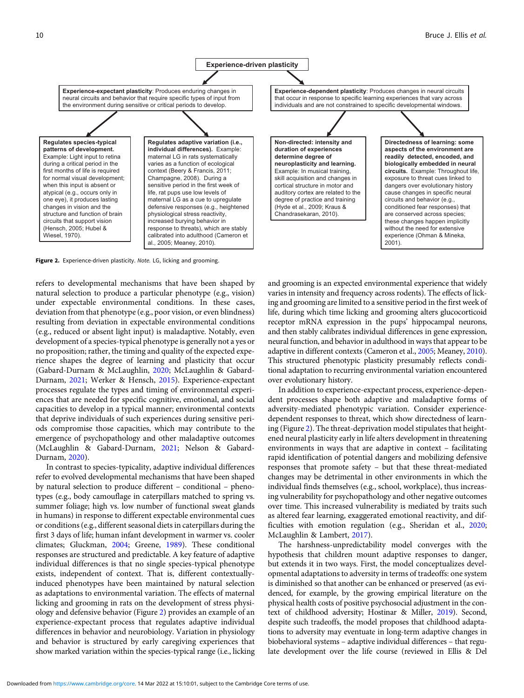<span id="page-9-0"></span>

Figure 2. Experience-driven plasticity. Note. LG, licking and grooming.

refers to developmental mechanisms that have been shaped by natural selection to produce a particular phenotype (e.g., vision) under expectable environmental conditions. In these cases, deviation from that phenotype (e.g., poor vision, or even blindness) resulting from deviation in expectable environmental conditions (e.g., reduced or absent light input) is maladaptive. Notably, even development of a species-typical phenotype is generally not a yes or no proposition; rather, the timing and quality of the expected experience shapes the degree of learning and plasticity that occur (Gabard-Durnam & McLaughlin, [2020;](#page-20-0) McLaughlin & Gabard-Durnam, [2021](#page-22-0); Werker & Hensch, [2015\)](#page-24-0). Experience-expectant processes regulate the types and timing of environmental experiences that are needed for specific cognitive, emotional, and social capacities to develop in a typical manner; environmental contexts that deprive individuals of such experiences during sensitive periods compromise those capacities, which may contribute to the emergence of psychopathology and other maladaptive outcomes (McLaughlin & Gabard-Durnam, [2021;](#page-22-0) Nelson & Gabard-Durnam, [2020](#page-22-0)).

In contrast to species-typicality, adaptive individual differences refer to evolved developmental mechanisms that have been shaped by natural selection to produce different – conditional – phenotypes (e.g., body camouflage in caterpillars matched to spring vs. summer foliage; high vs. low number of functional sweat glands in humans) in response to different expectable environmental cues or conditions (e.g., different seasonal diets in caterpillars during the first 3 days of life; human infant development in warmer vs. cooler climates; Gluckman, [2004](#page-20-0); Greene, [1989\)](#page-21-0). These conditional responses are structured and predictable. A key feature of adaptive individual differences is that no single species-typical phenotype exists, independent of context. That is, different contextuallyinduced phenotypes have been maintained by natural selection as adaptations to environmental variation. The effects of maternal licking and grooming in rats on the development of stress physiology and defensive behavior (Figure 2) provides an example of an experience-expectant process that regulates adaptive individual differences in behavior and neurobiology. Variation in physiology and behavior is structured by early caregiving experiences that show marked variation within the species-typical range (i.e., licking

and grooming is an expected environmental experience that widely varies in intensity and frequency across rodents). The effects of licking and grooming are limited to a sensitive period in the first week of life, during which time licking and grooming alters glucocorticoid receptor mRNA expression in the pups' hippocampal neurons, and then stably calibrates individual differences in gene expression, neural function, and behavior in adulthood in ways that appear to be adaptive in different contexts (Cameron et al., [2005;](#page-19-0) Meaney, [2010](#page-22-0)). This structured phenotypic plasticity presumably reflects conditional adaptation to recurring environmental variation encountered over evolutionary history.

In addition to experience-expectant process, experience-dependent processes shape both adaptive and maladaptive forms of adversity-mediated phenotypic variation. Consider experiencedependent responses to threat, which show directedness of learning (Figure 2). The threat-deprivation model stipulates that heightened neural plasticity early in life alters development in threatening environments in ways that are adaptive in context – facilitating rapid identification of potential dangers and mobilizing defensive responses that promote safety – but that these threat-mediated changes may be detrimental in other environments in which the individual finds themselves (e.g., school, workplace), thus increasing vulnerability for psychopathology and other negative outcomes over time. This increased vulnerability is mediated by traits such as altered fear learning, exaggerated emotional reactivity, and difficulties with emotion regulation (e.g., Sheridan et al., [2020](#page-23-0); McLaughlin & Lambert, [2017](#page-22-0)).

The harshness-unpredictability model converges with the hypothesis that children mount adaptive responses to danger, but extends it in two ways. First, the model conceptualizes developmental adaptations to adversity in terms of tradeoffs: one system is diminished so that another can be enhanced or preserved (as evidenced, for example, by the growing empirical literature on the physical health costs of positive psychosocial adjustment in the context of childhood adversity; Hostinar & Miller, [2019\)](#page-21-0). Second, despite such tradeoffs, the model proposes that childhood adaptations to adversity may eventuate in long-term adaptive changes in biobehavioral systems – adaptive individual differences – that regulate development over the life course (reviewed in Ellis & Del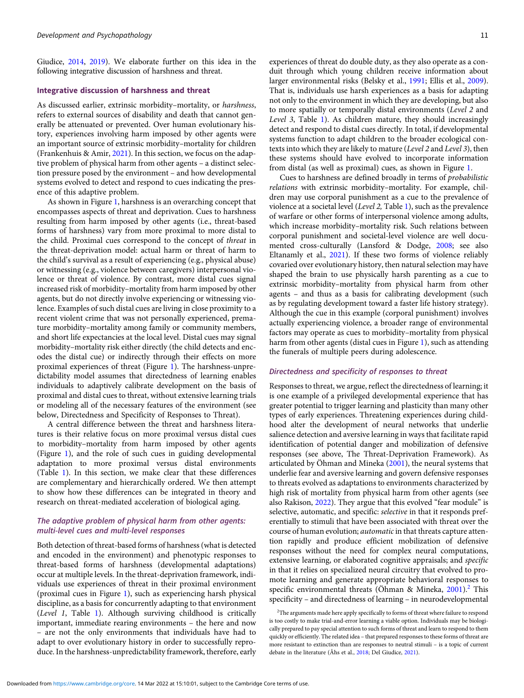Giudice, [2014](#page-20-0), [2019\)](#page-20-0). We elaborate further on this idea in the following integrative discussion of harshness and threat.

### Integrative discussion of harshness and threat

As discussed earlier, extrinsic morbidity–mortality, or harshness, refers to external sources of disability and death that cannot generally be attenuated or prevented. Over human evolutionary history, experiences involving harm imposed by other agents were an important source of extrinsic morbidity–mortality for children (Frankenhuis & Amir, [2021\)](#page-20-0). In this section, we focus on the adaptive problem of physical harm from other agents – a distinct selection pressure posed by the environment – and how developmental systems evolved to detect and respond to cues indicating the presence of this adaptive problem.

As shown in Figure [1,](#page-7-0) harshness is an overarching concept that encompasses aspects of threat and deprivation. Cues to harshness resulting from harm imposed by other agents (i.e., threat-based forms of harshness) vary from more proximal to more distal to the child. Proximal cues correspond to the concept of threat in the threat-deprivation model: actual harm or threat of harm to the child's survival as a result of experiencing (e.g., physical abuse) or witnessing (e.g., violence between caregivers) interpersonal violence or threat of violence. By contrast, more distal cues signal increased risk of morbidity–mortality from harm imposed by other agents, but do not directly involve experiencing or witnessing violence. Examples of such distal cues are living in close proximity to a recent violent crime that was not personally experienced, premature morbidity–mortality among family or community members, and short life expectancies at the local level. Distal cues may signal morbidity–mortality risk either directly (the child detects and encodes the distal cue) or indirectly through their effects on more proximal experiences of threat (Figure [1\)](#page-7-0). The harshness-unpredictability model assumes that directedness of learning enables individuals to adaptively calibrate development on the basis of proximal and distal cues to threat, without extensive learning trials or modeling all of the necessary features of the environment (see below, Directedness and Specificity of Responses to Threat).

A central difference between the threat and harshness literatures is their relative focus on more proximal versus distal cues to morbidity–mortality from harm imposed by other agents (Figure [1\)](#page-7-0), and the role of such cues in guiding developmental adaptation to more proximal versus distal environments (Table [1\)](#page-8-0). In this section, we make clear that these differences are complementary and hierarchically ordered. We then attempt to show how these differences can be integrated in theory and research on threat-mediated acceleration of biological aging.

# The adaptive problem of physical harm from other agents: multi-level cues and multi-level responses

Both detection of threat-based forms of harshness (what is detected and encoded in the environment) and phenotypic responses to threat-based forms of harshness (developmental adaptations) occur at multiple levels. In the threat-deprivation framework, individuals use experiences of threat in their proximal environment (proximal cues in Figure [1\)](#page-7-0), such as experiencing harsh physical discipline, as a basis for concurrently adapting to that environment (Level 1, Table [1\)](#page-8-0). Although surviving childhood is critically important, immediate rearing environments – the here and now – are not the only environments that individuals have had to adapt to over evolutionary history in order to successfully reproduce. In the harshness-unpredictability framework, therefore, early

experiences of threat do double duty, as they also operate as a conduit through which young children receive information about larger environmental risks (Belsky et al., [1991](#page-19-0); Ellis et al., [2009\)](#page-20-0). That is, individuals use harsh experiences as a basis for adapting not only to the environment in which they are developing, but also to more spatially or temporally distal environments (Level 2 and Level 3, Table [1\)](#page-8-0). As children mature, they should increasingly detect and respond to distal cues directly. In total, if developmental systems function to adapt children to the broader ecological contexts into which they are likely to mature (Level 2 and Level 3), then these systems should have evolved to incorporate information from distal (as well as proximal) cues, as shown in Figure [1](#page-7-0).

Cues to harshness are defined broadly in terms of probabilistic relations with extrinsic morbidity–mortality. For example, children may use corporal punishment as a cue to the prevalence of violence at a societal level (Level 2, Table [1](#page-8-0)), such as the prevalence of warfare or other forms of interpersonal violence among adults, which increase morbidity–mortality risk. Such relations between corporal punishment and societal-level violence are well documented cross-culturally (Lansford & Dodge, [2008;](#page-21-0) see also Eltanamly et al., [2021\)](#page-20-0). If these two forms of violence reliably covaried over evolutionary history, then natural selection may have shaped the brain to use physically harsh parenting as a cue to extrinsic morbidity–mortality from physical harm from other agents – and thus as a basis for calibrating development (such as by regulating development toward a faster life history strategy). Although the cue in this example (corporal punishment) involves actually experiencing violence, a broader range of environmental factors may operate as cues to morbidity–mortality from physical harm from other agents (distal cues in Figure [1](#page-7-0)), such as attending the funerals of multiple peers during adolescence.

### Directedness and specificity of responses to threat

Responses to threat, we argue, reflect the directedness of learning; it is one example of a privileged developmental experience that has greater potential to trigger learning and plasticity than many other types of early experiences. Threatening experiences during childhood alter the development of neural networks that underlie salience detection and aversive learning in ways that facilitate rapid identification of potential danger and mobilization of defensive responses (see above, The Threat-Deprivation Framework). As articulated by Öhman and Mineka [\(2001](#page-23-0)), the neural systems that underlie fear and aversive learning and govern defensive responses to threats evolved as adaptations to environments characterized by high risk of mortality from physical harm from other agents (see also Rakison, [2022](#page-23-0)). They argue that this evolved "fear module" is selective, automatic, and specific: selective in that it responds preferentially to stimuli that have been associated with threat over the course of human evolution; *automatic* in that threats capture attention rapidly and produce efficient mobilization of defensive responses without the need for complex neural computations, extensive learning, or elaborated cognitive appraisals; and specific in that it relies on specialized neural circuitry that evolved to promote learning and generate appropriate behavioral responses to specific environmental threats (Öhman & Mineka, [2001\)](#page-23-0).<sup>2</sup> This specificity – and directedness of learning – in neurodevelopmental

<sup>&</sup>lt;sup>2</sup>The arguments made here apply specifically to forms of threat where failure to respond is too costly to make trial-and-error learning a viable option. Individuals may be biologically prepared to pay special attention to such forms of threat and learn to respond to them quickly or efficiently. The related idea – that prepared responses to these forms of threat are more resistant to extinction than are responses to neutral stimuli – is a topic of current debate in the literature (Åhs et al., [2018;](#page-18-0) Del Giudice, [2021\)](#page-20-0).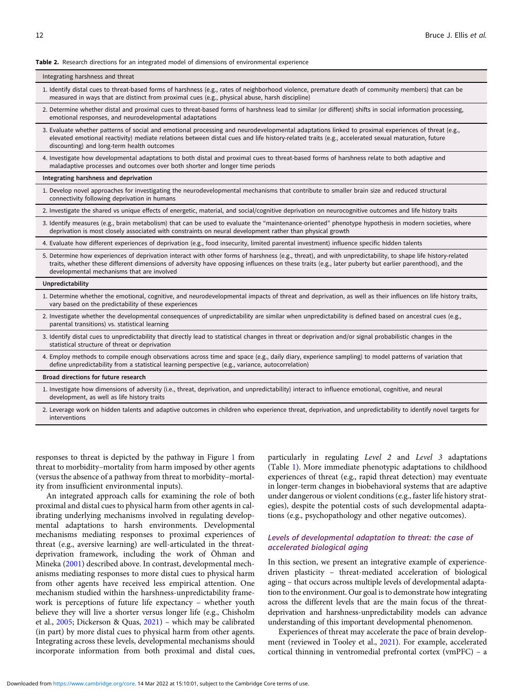### <span id="page-11-0"></span>Table 2. Research directions for an integrated model of dimensions of environmental experience

### Integrating harshness and threat

- 1. Identify distal cues to threat-based forms of harshness (e.g., rates of neighborhood violence, premature death of community members) that can be measured in ways that are distinct from proximal cues (e.g., physical abuse, harsh discipline)
- 2. Determine whether distal and proximal cues to threat-based forms of harshness lead to similar (or different) shifts in social information processing, emotional responses, and neurodevelopmental adaptations
- 3. Evaluate whether patterns of social and emotional processing and neurodevelopmental adaptations linked to proximal experiences of threat (e.g., elevated emotional reactivity) mediate relations between distal cues and life history-related traits (e.g., accelerated sexual maturation, future discounting) and long-term health outcomes

4. Investigate how developmental adaptations to both distal and proximal cues to threat-based forms of harshness relate to both adaptive and maladaptive processes and outcomes over both shorter and longer time periods

#### Integrating harshness and deprivation

1. Develop novel approaches for investigating the neurodevelopmental mechanisms that contribute to smaller brain size and reduced structural connectivity following deprivation in humans

2. Investigate the shared vs unique effects of energetic, material, and social/cognitive deprivation on neurocognitive outcomes and life history traits

3. Identify measures (e.g., brain metabolism) that can be used to evaluate the "maintenance-oriented" phenotype hypothesis in modern societies, where deprivation is most closely associated with constraints on neural development rather than physical growth

4. Evaluate how different experiences of deprivation (e.g., food insecurity, limited parental investment) influence specific hidden talents

5. Determine how experiences of deprivation interact with other forms of harshness (e.g., threat), and with unpredictability, to shape life history-related traits, whether these different dimensions of adversity have opposing influences on these traits (e.g., later puberty but earlier parenthood), and the developmental mechanisms that are involved

### Unpredictability

1. Determine whether the emotional, cognitive, and neurodevelopmental impacts of threat and deprivation, as well as their influences on life history traits, vary based on the predictability of these experiences

- 2. Investigate whether the developmental consequences of unpredictability are similar when unpredictability is defined based on ancestral cues (e.g., parental transitions) vs. statistical learning
- 3. Identify distal cues to unpredictability that directly lead to statistical changes in threat or deprivation and/or signal probabilistic changes in the statistical structure of threat or deprivation
- 4. Employ methods to compile enough observations across time and space (e.g., daily diary, experience sampling) to model patterns of variation that define unpredictability from a statistical learning perspective (e.g., variance, autocorrelation)

Broad directions for future research

- 1. Investigate how dimensions of adversity (i.e., threat, deprivation, and unpredictability) interact to influence emotional, cognitive, and neural development, as well as life history traits
- 2. Leverage work on hidden talents and adaptive outcomes in children who experience threat, deprivation, and unpredictability to identify novel targets for interventions

responses to threat is depicted by the pathway in Figure [1](#page-7-0) from threat to morbidity–mortality from harm imposed by other agents (versus the absence of a pathway from threat to morbidity–mortality from insufficient environmental inputs).

An integrated approach calls for examining the role of both proximal and distal cues to physical harm from other agents in calibrating underlying mechanisms involved in regulating developmental adaptations to harsh environments. Developmental mechanisms mediating responses to proximal experiences of threat (e.g., aversive learning) are well-articulated in the threatdeprivation framework, including the work of Öhman and Mineka ([2001\)](#page-23-0) described above. In contrast, developmental mechanisms mediating responses to more distal cues to physical harm from other agents have received less empirical attention. One mechanism studied within the harshness-unpredictability framework is perceptions of future life expectancy – whether youth believe they will live a shorter versus longer life (e.g., Chisholm et al., [2005](#page-19-0); Dickerson & Quas, [2021\)](#page-20-0) – which may be calibrated (in part) by more distal cues to physical harm from other agents. Integrating across these levels, developmental mechanisms should incorporate information from both proximal and distal cues,

particularly in regulating Level 2 and Level 3 adaptations (Table [1](#page-8-0)). More immediate phenotypic adaptations to childhood experiences of threat (e.g., rapid threat detection) may eventuate in longer-term changes in biobehavioral systems that are adaptive under dangerous or violent conditions (e.g., faster life history strategies), despite the potential costs of such developmental adaptations (e.g., psychopathology and other negative outcomes).

# Levels of developmental adaptation to threat: the case of accelerated biological aging

In this section, we present an integrative example of experiencedriven plasticity – threat-mediated acceleration of biological aging – that occurs across multiple levels of developmental adaptation to the environment. Our goal is to demonstrate how integrating across the different levels that are the main focus of the threatdeprivation and harshness-unpredictability models can advance understanding of this important developmental phenomenon.

Experiences of threat may accelerate the pace of brain development (reviewed in Tooley et al., [2021\)](#page-24-0). For example, accelerated cortical thinning in ventromedial prefrontal cortex (vmPFC) – a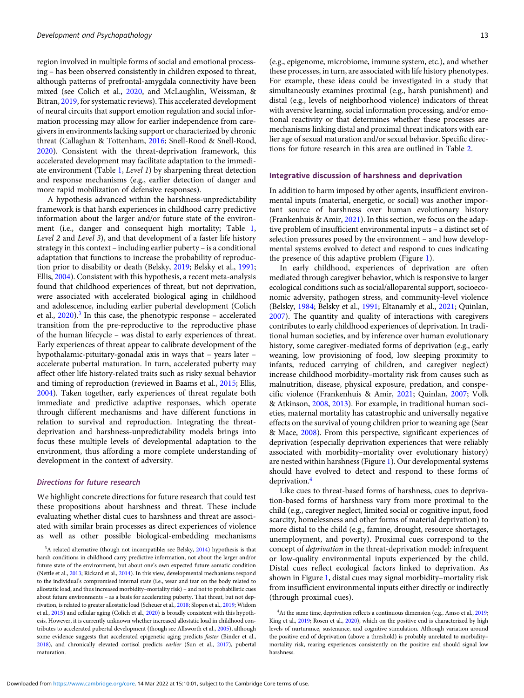region involved in multiple forms of social and emotional processing – has been observed consistently in children exposed to threat, although patterns of prefrontal-amygdala connectivity have been mixed (see Colich et al., [2020,](#page-19-0) and McLaughlin, Weissman, & Bitran, [2019,](#page-22-0) for systematic reviews). This accelerated development of neural circuits that support emotion regulation and social information processing may allow for earlier independence from caregivers in environments lacking support or characterized by chronic threat (Callaghan & Tottenham, [2016](#page-19-0); Snell-Rood & Snell-Rood, [2020](#page-23-0)). Consistent with the threat-deprivation framework, this accelerated development may facilitate adaptation to the immediate environment (Table [1,](#page-8-0) Level 1) by sharpening threat detection and response mechanisms (e.g., earlier detection of danger and more rapid mobilization of defensive responses).

A hypothesis advanced within the harshness-unpredictability framework is that harsh experiences in childhood carry predictive information about the larger and/or future state of the environment (i.e., danger and consequent high mortality; Table [1,](#page-8-0) Level 2 and Level 3), and that development of a faster life history strategy in this context – including earlier puberty – is a conditional adaptation that functions to increase the probability of reproduction prior to disability or death (Belsky, [2019](#page-19-0); Belsky et al., [1991;](#page-19-0) Ellis, [2004](#page-20-0)). Consistent with this hypothesis, a recent meta-analysis found that childhood experiences of threat, but not deprivation, were associated with accelerated biological aging in childhood and adolescence, including earlier pubertal development (Colich et al.,  $2020$ ).<sup>3</sup> In this case, the phenotypic response – accelerated transition from the pre-reproductive to the reproductive phase of the human lifecycle – was distal to early experiences of threat. Early experiences of threat appear to calibrate development of the hypothalamic-pituitary-gonadal axis in ways that – years later – accelerate pubertal maturation. In turn, accelerated puberty may affect other life history-related traits such as risky sexual behavior and timing of reproduction (reviewed in Baams et al., [2015](#page-19-0); Ellis, [2004](#page-20-0)). Taken together, early experiences of threat regulate both immediate and predictive adaptive responses, which operate through different mechanisms and have different functions in relation to survival and reproduction. Integrating the threatdeprivation and harshness-unpredictability models brings into focus these multiple levels of developmental adaptation to the environment, thus affording a more complete understanding of development in the context of adversity.

### Directions for future research

We highlight concrete directions for future research that could test these propositions about harshness and threat. These include evaluating whether distal cues to harshness and threat are associated with similar brain processes as direct experiences of violence as well as other possible biological-embedding mechanisms

<sup>3</sup>A related alternative (though not incompatible; see Belsky, [2014](#page-19-0)) hypothesis is that harsh conditions in childhood carry predictive information, not about the larger and/or future state of the environment, but about one's own expected future somatic condition (Nettle et al., [2013;](#page-22-0) Rickard et al., [2014\)](#page-23-0). In this view, developmental mechanisms respond to the individual's compromised internal state (i.e., wear and tear on the body related to allostatic load, and thus increased morbidity–mortality risk) – and not to probabilistic cues about future environments – as a basis for accelerating puberty. That threat, but not deprivation, is related to greater allostatic load (Scheuer et al., [2018;](#page-23-0) Slopen et al., [2019;](#page-23-0) Widom et al., [2015\)](#page-24-0) and cellular aging (Colich et al., [2020](#page-19-0)) is broadly consistent with this hypothesis. However, it is currently unknown whether increased allostatic load in childhood contributes to accelerated pubertal development (though see Allsworth et al., [2005\)](#page-18-0), although some evidence suggests that accelerated epigenetic aging predicts faster (Binder et al., [2018](#page-19-0)), and chronically elevated cortisol predicts earlier (Sun et al., [2017](#page-24-0)), pubertal maturation.

(e.g., epigenome, microbiome, immune system, etc.), and whether these processes, in turn, are associated with life history phenotypes. For example, these ideas could be investigated in a study that simultaneously examines proximal (e.g., harsh punishment) and distal (e.g., levels of neighborhood violence) indicators of threat with aversive learning, social information processing, and/or emotional reactivity or that determines whether these processes are mechanisms linking distal and proximal threat indicators with ear-

Integrative discussion of harshness and deprivation

In addition to harm imposed by other agents, insufficient environmental inputs (material, energetic, or social) was another important source of harshness over human evolutionary history (Frankenhuis & Amir, [2021\)](#page-20-0). In this section, we focus on the adaptive problem of insufficient environmental inputs – a distinct set of selection pressures posed by the environment – and how developmental systems evolved to detect and respond to cues indicating the presence of this adaptive problem (Figure [1](#page-7-0)).

lier age of sexual maturation and/or sexual behavior. Specific directions for future research in this area are outlined in Table [2](#page-11-0).

In early childhood, experiences of deprivation are often mediated through caregiver behavior, which is responsive to larger ecological conditions such as social/alloparental support, socioeconomic adversity, pathogen stress, and community-level violence (Belsky, [1984;](#page-19-0) Belsky et al., [1991;](#page-19-0) Eltanamly et al., [2021;](#page-20-0) Quinlan, [2007](#page-23-0)). The quantity and quality of interactions with caregivers contributes to early childhood experiences of deprivation. In traditional human societies, and by inference over human evolutionary history, some caregiver-mediated forms of deprivation (e.g., early weaning, low provisioning of food, low sleeping proximity to infants, reduced carrying of children, and caregiver neglect) increase childhood morbidity–mortality risk from causes such as malnutrition, disease, physical exposure, predation, and conspecific violence (Frankenhuis & Amir, [2021](#page-20-0); Quinlan, [2007;](#page-23-0) Volk & Atkinson, [2008,](#page-24-0) [2013\)](#page-24-0). For example, in traditional human societies, maternal mortality has catastrophic and universally negative effects on the survival of young children prior to weaning age (Sear & Mace, [2008](#page-23-0)). From this perspective, significant experiences of deprivation (especially deprivation experiences that were reliably associated with morbidity–mortality over evolutionary history) are nested within harshness (Figure [1](#page-7-0)). Our developmental systems should have evolved to detect and respond to these forms of deprivation.<sup>4</sup>

Like cues to threat-based forms of harshness, cues to deprivation-based forms of harshness vary from more proximal to the child (e.g., caregiver neglect, limited social or cognitive input, food scarcity, homelessness and other forms of material deprivation) to more distal to the child (e.g., famine, drought, resource shortages, unemployment, and poverty). Proximal cues correspond to the concept of deprivation in the threat-deprivation model: infrequent or low-quality environmental inputs experienced by the child. Distal cues reflect ecological factors linked to deprivation. As shown in Figure [1,](#page-7-0) distal cues may signal morbidity–mortality risk from insufficient environmental inputs either directly or indirectly (through proximal cues).

<sup>4</sup>At the same time, deprivation reflects a continuous dimension (e.g., Amso et al., [2019](#page-18-0); King et al., [2019](#page-21-0); Rosen et al., [2020\)](#page-23-0), which on the positive end is characterized by high levels of nurturance, sustenance, and cognitive stimulation. Although variation around the positive end of deprivation (above a threshold) is probably unrelated to morbidity– mortality risk, rearing experiences consistently on the positive end should signal low harshness.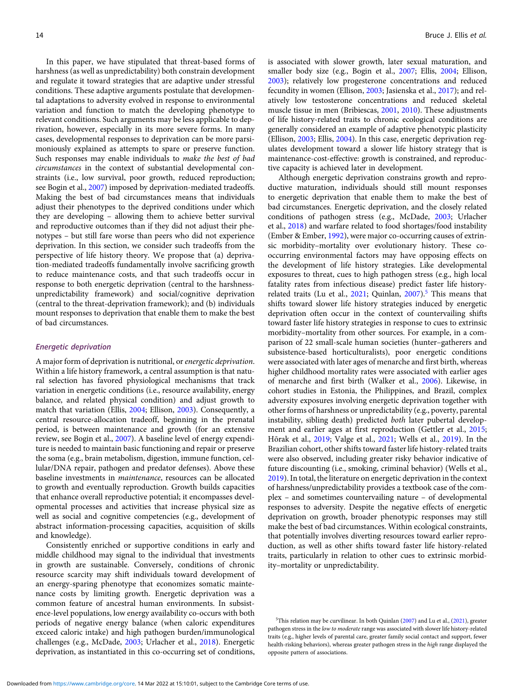In this paper, we have stipulated that threat-based forms of harshness (as well as unpredictability) both constrain development and regulate it toward strategies that are adaptive under stressful conditions. These adaptive arguments postulate that developmental adaptations to adversity evolved in response to environmental variation and function to match the developing phenotype to relevant conditions. Such arguments may be less applicable to deprivation, however, especially in its more severe forms. In many cases, developmental responses to deprivation can be more parsimoniously explained as attempts to spare or preserve function. Such responses may enable individuals to make the best of bad circumstances in the context of substantial developmental constraints (i.e., low survival, poor growth, reduced reproduction; see Bogin et al., [2007\)](#page-19-0) imposed by deprivation-mediated tradeoffs. Making the best of bad circumstances means that individuals adjust their phenotypes to the deprived conditions under which they are developing – allowing them to achieve better survival and reproductive outcomes than if they did not adjust their phenotypes – but still fare worse than peers who did not experience deprivation. In this section, we consider such tradeoffs from the perspective of life history theory. We propose that (a) deprivation-mediated tradeoffs fundamentally involve sacrificing growth to reduce maintenance costs, and that such tradeoffs occur in response to both energetic deprivation (central to the harshnessunpredictability framework) and social/cognitive deprivation (central to the threat-deprivation framework); and (b) individuals mount responses to deprivation that enable them to make the best of bad circumstances.

### Energetic deprivation

A major form of deprivation is nutritional, or energetic deprivation. Within a life history framework, a central assumption is that natural selection has favored physiological mechanisms that track variation in energetic conditions (i.e., resource availability, energy balance, and related physical condition) and adjust growth to match that variation (Ellis, [2004](#page-20-0); Ellison, [2003\)](#page-20-0). Consequently, a central resource-allocation tradeoff, beginning in the prenatal period, is between maintenance and growth (for an extensive review, see Bogin et al., [2007](#page-19-0)). A baseline level of energy expenditure is needed to maintain basic functioning and repair or preserve the soma (e.g., brain metabolism, digestion, immune function, cellular/DNA repair, pathogen and predator defenses). Above these baseline investments in maintenance, resources can be allocated to growth and eventually reproduction. Growth builds capacities that enhance overall reproductive potential; it encompasses developmental processes and activities that increase physical size as well as social and cognitive competencies (e.g., development of abstract information-processing capacities, acquisition of skills and knowledge).

Consistently enriched or supportive conditions in early and middle childhood may signal to the individual that investments in growth are sustainable. Conversely, conditions of chronic resource scarcity may shift individuals toward development of an energy-sparing phenotype that economizes somatic maintenance costs by limiting growth. Energetic deprivation was a common feature of ancestral human environments. In subsistence-level populations, low energy availability co-occurs with both periods of negative energy balance (when caloric expenditures exceed caloric intake) and high pathogen burden/immunological challenges (e.g., McDade, [2003](#page-22-0); Urlacher et al., [2018](#page-24-0)). Energetic deprivation, as instantiated in this co-occurring set of conditions,

is associated with slower growth, later sexual maturation, and smaller body size (e.g., Bogin et al., [2007;](#page-19-0) Ellis, [2004;](#page-20-0) Ellison, [2003\)](#page-20-0); relatively low progesterone concentrations and reduced fecundity in women (Ellison, [2003](#page-20-0); Jasienska et al., [2017](#page-21-0)); and relatively low testosterone concentrations and reduced skeletal muscle tissue in men (Bribiescas, [2001](#page-19-0), [2010](#page-19-0)). These adjustments of life history-related traits to chronic ecological conditions are generally considered an example of adaptive phenotypic plasticity (Ellison, [2003;](#page-20-0) Ellis, [2004](#page-20-0)). In this case, energetic deprivation regulates development toward a slower life history strategy that is maintenance-cost-effective: growth is constrained, and reproductive capacity is achieved later in development.

Although energetic deprivation constrains growth and reproductive maturation, individuals should still mount responses to energetic deprivation that enable them to make the best of bad circumstances. Energetic deprivation, and the closely related conditions of pathogen stress (e.g., McDade, [2003](#page-22-0); Urlacher et al., [2018](#page-24-0)) and warfare related to food shortages/food instability (Ember & Ember, [1992\)](#page-20-0), were major co-occurring causes of extrinsic morbidity–mortality over evolutionary history. These cooccurring environmental factors may have opposing effects on the development of life history strategies. Like developmental exposures to threat, cues to high pathogen stress (e.g., high local fatality rates from infectious disease) predict faster life historyrelated traits (Lu et al.,  $2021$ ; Quinlan,  $2007$ ).<sup>5</sup> This means that shifts toward slower life history strategies induced by energetic deprivation often occur in the context of countervailing shifts toward faster life history strategies in response to cues to extrinsic morbidity–mortality from other sources. For example, in a comparison of 22 small-scale human societies (hunter–gatherers and subsistence-based horticulturalists), poor energetic conditions were associated with later ages of menarche and first birth, whereas higher childhood mortality rates were associated with earlier ages of menarche and first birth (Walker et al., [2006\)](#page-24-0). Likewise, in cohort studies in Estonia, the Philippines, and Brazil, complex adversity exposures involving energetic deprivation together with other forms of harshness or unpredictability (e.g., poverty, parental instability, sibling death) predicted both later pubertal development and earlier ages at first reproduction (Gettler et al., [2015](#page-20-0); Hõrak et al., [2019;](#page-21-0) Valge et al., [2021;](#page-24-0) Wells et al., [2019](#page-24-0)). In the Brazilian cohort, other shifts toward faster life history-related traits were also observed, including greater risky behavior indicative of future discounting (i.e., smoking, criminal behavior) (Wells et al., [2019\)](#page-24-0). In total, the literature on energetic deprivation in the context of harshness/unpredictability provides a textbook case of the complex – and sometimes countervailing nature – of developmental responses to adversity. Despite the negative effects of energetic deprivation on growth, broader phenotypic responses may still make the best of bad circumstances. Within ecological constraints, that potentially involves diverting resources toward earlier reproduction, as well as other shifts toward faster life history-related traits, particularly in relation to other cues to extrinsic morbidity–mortality or unpredictability.

<sup>5</sup>This relation may be curvilinear. In both Quinlan ([2007](#page-23-0)) and Lu et al., [\(2021\)](#page-22-0), greater pathogen stress in the low to moderate range was associated with slower life history-related traits (e.g., higher levels of parental care, greater family social contact and support, fewer health-risking behaviors), whereas greater pathogen stress in the high range displayed the opposite pattern of associations.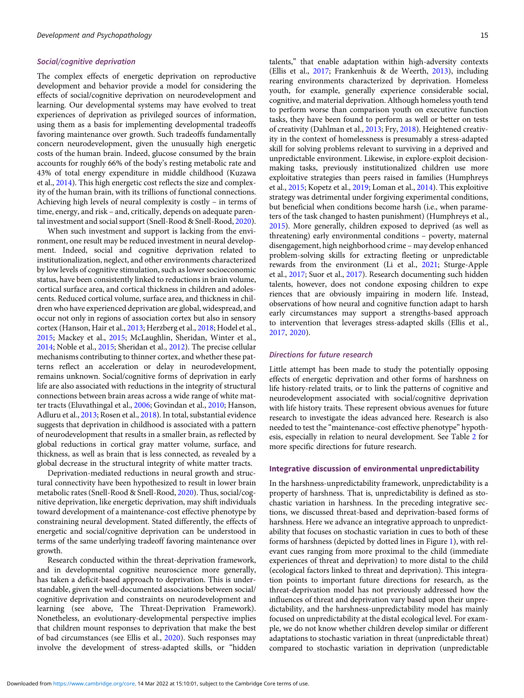### Social/cognitive deprivation

The complex effects of energetic deprivation on reproductive development and behavior provide a model for considering the effects of social/cognitive deprivation on neurodevelopment and learning. Our developmental systems may have evolved to treat experiences of deprivation as privileged sources of information, using them as a basis for implementing developmental tradeoffs favoring maintenance over growth. Such tradeoffs fundamentally concern neurodevelopment, given the unusually high energetic costs of the human brain. Indeed, glucose consumed by the brain accounts for roughly 66% of the body's resting metabolic rate and 43% of total energy expenditure in middle childhood (Kuzawa et al., [2014\)](#page-21-0). This high energetic cost reflects the size and complexity of the human brain, with its trillions of functional connections. Achieving high levels of neural complexity is costly – in terms of time, energy, and risk – and, critically, depends on adequate parental investment and social support (Snell-Rood & Snell-Rood, [2020\)](#page-23-0).

When such investment and support is lacking from the environment, one result may be reduced investment in neural development. Indeed, social and cognitive deprivation related to institutionalization, neglect, and other environments characterized by low levels of cognitive stimulation, such as lower socioeconomic status, have been consistently linked to reductions in brain volume, cortical surface area, and cortical thickness in children and adolescents. Reduced cortical volume, surface area, and thickness in children who have experienced deprivation are global, widespread, and occur not only in regions of association cortex but also in sensory cortex (Hanson, Hair et al., [2013;](#page-21-0) Herzberg et al., [2018;](#page-21-0) Hodel et al., [2015](#page-21-0); Mackey et al., [2015](#page-22-0); McLaughlin, Sheridan, Winter et al., [2014](#page-22-0); Noble et al., [2015;](#page-22-0) Sheridan et al., [2012](#page-23-0)). The precise cellular mechanisms contributing to thinner cortex, and whether these patterns reflect an acceleration or delay in neurodevelopment, remains unknown. Social/cognitive forms of deprivation in early life are also associated with reductions in the integrity of structural connections between brain areas across a wide range of white matter tracts (Eluvathingal et al., [2006;](#page-20-0) Govindan et al., [2010;](#page-21-0) Hanson, Adluru et al., [2013](#page-21-0); Rosen et al., [2018\)](#page-23-0). In total, substantial evidence suggests that deprivation in childhood is associated with a pattern of neurodevelopment that results in a smaller brain, as reflected by global reductions in cortical gray matter volume, surface, and thickness, as well as brain that is less connected, as revealed by a global decrease in the structural integrity of white matter tracts.

Deprivation-mediated reductions in neural growth and structural connectivity have been hypothesized to result in lower brain metabolic rates (Snell-Rood & Snell-Rood, [2020](#page-23-0)). Thus, social/cognitive deprivation, like energetic deprivation, may shift individuals toward development of a maintenance-cost effective phenotype by constraining neural development. Stated differently, the effects of energetic and social/cognitive deprivation can be understood in terms of the same underlying tradeoff favoring maintenance over growth.

Research conducted within the threat-deprivation framework, and in developmental cognitive neuroscience more generally, has taken a deficit-based approach to deprivation. This is understandable, given the well-documented associations between social/ cognitive deprivation and constraints on neurodevelopment and learning (see above, The Threat-Deprivation Framework). Nonetheless, an evolutionary-developmental perspective implies that children mount responses to deprivation that make the best of bad circumstances (see Ellis et al., [2020](#page-20-0)). Such responses may involve the development of stress-adapted skills, or "hidden talents," that enable adaptation within high-adversity contexts (Ellis et al., [2017;](#page-20-0) Frankenhuis & de Weerth, [2013](#page-20-0)), including rearing environments characterized by deprivation. Homeless youth, for example, generally experience considerable social, cognitive, and material deprivation. Although homeless youth tend to perform worse than comparison youth on executive function tasks, they have been found to perform as well or better on tests of creativity (Dahlman et al., [2013;](#page-19-0) Fry, [2018\)](#page-20-0). Heightened creativity in the context of homelessness is presumably a stress-adapted skill for solving problems relevant to surviving in a deprived and unpredictable environment. Likewise, in explore-exploit decisionmaking tasks, previously institutionalized children use more exploitative strategies than peers raised in families (Humphreys et al., [2015;](#page-21-0) Kopetz et al., [2019;](#page-21-0) Loman et al., [2014\)](#page-22-0). This exploitive strategy was detrimental under forgiving experimental conditions, but beneficial when conditions become harsh (i.e., when parameters of the task changed to hasten punishment) (Humphreys et al., [2015](#page-21-0)). More generally, children exposed to deprived (as well as threatening) early environmental conditions – poverty, maternal disengagement, high neighborhood crime – may develop enhanced problem-solving skills for extracting fleeting or unpredictable rewards from the environment (Li et al., [2021;](#page-22-0) Sturge-Apple et al., [2017;](#page-24-0) Suor et al., [2017\)](#page-24-0). Research documenting such hidden talents, however, does not condone exposing children to expe riences that are obviously impairing in modern life. Instead, observations of how neural and cognitive function adapt to harsh early circumstances may support a strengths-based approach to intervention that leverages stress-adapted skills (Ellis et al., [2017](#page-20-0), [2020](#page-20-0)).

### Directions for future research

Little attempt has been made to study the potentially opposing effects of energetic deprivation and other forms of harshness on life history-related traits, or to link the patterns of cognitive and neurodevelopment associated with social/cognitive deprivation with life history traits. These represent obvious avenues for future research to investigate the ideas advanced here. Research is also needed to test the "maintenance-cost effective phenotype" hypothesis, especially in relation to neural development. See Table [2](#page-11-0) for more specific directions for future research.

# Integrative discussion of environmental unpredictability

In the harshness-unpredictability framework, unpredictability is a property of harshness. That is, unpredictability is defined as stochastic variation in harshness. In the preceding integrative sections, we discussed threat-based and deprivation-based forms of harshness. Here we advance an integrative approach to unpredictability that focuses on stochastic variation in cues to both of these forms of harshness (depicted by dotted lines in Figure [1](#page-7-0)), with relevant cues ranging from more proximal to the child (immediate experiences of threat and deprivation) to more distal to the child (ecological factors linked to threat and deprivation). This integration points to important future directions for research, as the threat-deprivation model has not previously addressed how the influences of threat and deprivation vary based upon their unpredictability, and the harshness-unpredictability model has mainly focused on unpredictability at the distal ecological level. For example, we do not know whether children develop similar or different adaptations to stochastic variation in threat (unpredictable threat) compared to stochastic variation in deprivation (unpredictable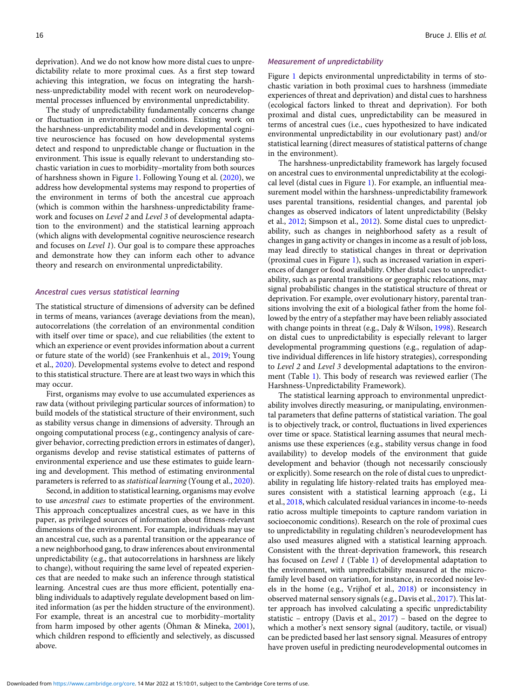deprivation). And we do not know how more distal cues to unpredictability relate to more proximal cues. As a first step toward achieving this integration, we focus on integrating the harshness-unpredictability model with recent work on neurodevelopmental processes influenced by environmental unpredictability.

The study of unpredictability fundamentally concerns change or fluctuation in environmental conditions. Existing work on the harshness-unpredictability model and in developmental cognitive neuroscience has focused on how developmental systems detect and respond to unpredictable change or fluctuation in the environment. This issue is equally relevant to understanding stochastic variation in cues to morbidity–mortality from both sources of harshness shown in Figure [1](#page-7-0). Following Young et al. [\(2020](#page-24-0)), we address how developmental systems may respond to properties of the environment in terms of both the ancestral cue approach (which is common within the harshness-unpredictability framework and focuses on Level 2 and Level 3 of developmental adaptation to the environment) and the statistical learning approach (which aligns with developmental cognitive neuroscience research and focuses on Level 1). Our goal is to compare these approaches and demonstrate how they can inform each other to advance theory and research on environmental unpredictability.

# Ancestral cues versus statistical learning

The statistical structure of dimensions of adversity can be defined in terms of means, variances (average deviations from the mean), autocorrelations (the correlation of an environmental condition with itself over time or space), and cue reliabilities (the extent to which an experience or event provides information about a current or future state of the world) (see Frankenhuis et al., [2019](#page-20-0); Young et al., [2020](#page-24-0)). Developmental systems evolve to detect and respond to this statistical structure. There are at least two ways in which this may occur.

First, organisms may evolve to use accumulated experiences as raw data (without privileging particular sources of information) to build models of the statistical structure of their environment, such as stability versus change in dimensions of adversity. Through an ongoing computational process (e.g., contingency analysis of caregiver behavior, correcting prediction errors in estimates of danger), organisms develop and revise statistical estimates of patterns of environmental experience and use these estimates to guide learning and development. This method of estimating environmental parameters is referred to as statistical learning (Young et al., [2020](#page-24-0)).

Second, in addition to statistical learning, organisms may evolve to use ancestral cues to estimate properties of the environment. This approach conceptualizes ancestral cues, as we have in this paper, as privileged sources of information about fitness-relevant dimensions of the environment. For example, individuals may use an ancestral cue, such as a parental transition or the appearance of a new neighborhood gang, to draw inferences about environmental unpredictability (e.g., that autocorrelations in harshness are likely to change), without requiring the same level of repeated experiences that are needed to make such an inference through statistical learning. Ancestral cues are thus more efficient, potentially enabling individuals to adaptively regulate development based on limited information (as per the hidden structure of the environment). For example, threat is an ancestral cue to morbidity–mortality from harm imposed by other agents (Öhman & Mineka, [2001](#page-23-0)), which children respond to efficiently and selectively, as discussed above.

### Measurement of unpredictability

Figure [1](#page-7-0) depicts environmental unpredictability in terms of stochastic variation in both proximal cues to harshness (immediate experiences of threat and deprivation) and distal cues to harshness (ecological factors linked to threat and deprivation). For both proximal and distal cues, unpredictability can be measured in terms of ancestral cues (i.e., cues hypothesized to have indicated environmental unpredictability in our evolutionary past) and/or statistical learning (direct measures of statistical patterns of change in the environment).

The harshness-unpredictability framework has largely focused on ancestral cues to environmental unpredictability at the ecological level (distal cues in Figure [1](#page-7-0)). For example, an influential measurement model within the harshness-unpredictability framework uses parental transitions, residential changes, and parental job changes as observed indicators of latent unpredictability (Belsky et al., [2012](#page-19-0); Simpson et al., [2012](#page-23-0)). Some distal cues to unpredictability, such as changes in neighborhood safety as a result of changes in gang activity or changes in income as a result of job loss, may lead directly to statistical changes in threat or deprivation (proximal cues in Figure [1\)](#page-7-0), such as increased variation in experiences of danger or food availability. Other distal cues to unpredictability, such as parental transitions or geographic relocations, may signal probabilistic changes in the statistical structure of threat or deprivation. For example, over evolutionary history, parental transitions involving the exit of a biological father from the home followed by the entry of a stepfather may have been reliably associated with change points in threat (e.g., Daly & Wilson, [1998\)](#page-19-0). Research on distal cues to unpredictability is especially relevant to larger developmental programming questions (e.g., regulation of adaptive individual differences in life history strategies), corresponding to Level 2 and Level 3 developmental adaptations to the environment (Table [1](#page-8-0)). This body of research was reviewed earlier (The Harshness-Unpredictability Framework).

The statistical learning approach to environmental unpredictability involves directly measuring, or manipulating, environmental parameters that define patterns of statistical variation. The goal is to objectively track, or control, fluctuations in lived experiences over time or space. Statistical learning assumes that neural mechanisms use these experiences (e.g., stability versus change in food availability) to develop models of the environment that guide development and behavior (though not necessarily consciously or explicitly). Some research on the role of distal cues to unpredictability in regulating life history-related traits has employed measures consistent with a statistical learning approach (e.g., Li et al., [2018,](#page-22-0) which calculated residual variances in income-to-needs ratio across multiple timepoints to capture random variation in socioeconomic conditions). Research on the role of proximal cues to unpredictability in regulating children's neurodevelopment has also used measures aligned with a statistical learning approach. Consistent with the threat-deprivation framework, this research has focused on Level 1 (Table [1\)](#page-8-0) of developmental adaptation to the environment, with unpredictability measured at the microfamily level based on variation, for instance, in recorded noise levels in the home (e.g., Vrijhof et al., [2018](#page-24-0)) or inconsistency in observed maternal sensory signals (e.g., Davis et al., [2017](#page-19-0)). This latter approach has involved calculating a specific unpredictability statistic – entropy (Davis et al., [2017\)](#page-19-0) – based on the degree to which a mother's next sensory signal (auditory, tactile, or visual) can be predicted based her last sensory signal. Measures of entropy have proven useful in predicting neurodevelopmental outcomes in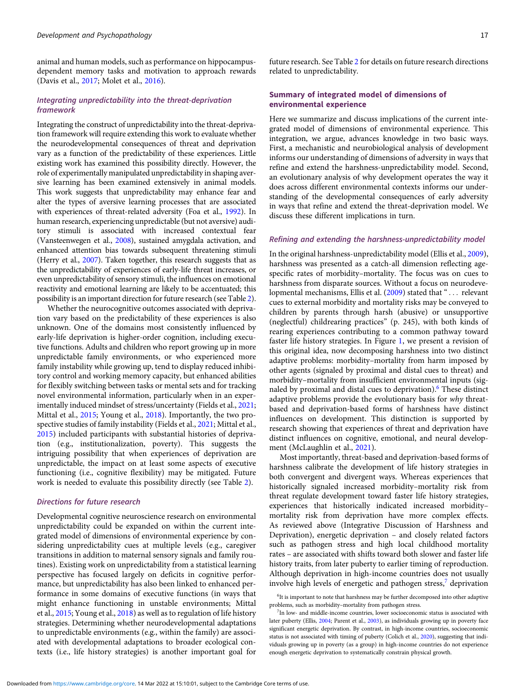animal and human models, such as performance on hippocampusdependent memory tasks and motivation to approach rewards (Davis et al., [2017](#page-19-0); Molet et al., [2016\)](#page-22-0).

# Integrating unpredictability into the threat-deprivation framework

Integrating the construct of unpredictability into the threat-deprivation framework will require extending this work to evaluate whether the neurodevelopmental consequences of threat and deprivation vary as a function of the predictability of these experiences. Little existing work has examined this possibility directly. However, the role of experimentally manipulated unpredictability in shaping aversive learning has been examined extensively in animal models. This work suggests that unpredictability may enhance fear and alter the types of aversive learning processes that are associated with experiences of threat-related adversity (Foa et al., [1992\)](#page-20-0). In human research, experiencing unpredictable (but not aversive) auditory stimuli is associated with increased contextual fear (Vansteenwegen et al., [2008\)](#page-24-0), sustained amygdala activation, and enhanced attention bias towards subsequent threatening stimuli (Herry et al., [2007](#page-21-0)). Taken together, this research suggests that as the unpredictability of experiences of early-life threat increases, or even unpredictability of sensory stimuli, the influences on emotional reactivity and emotional learning are likely to be accentuated; this possibility is an important direction for future research (see Table [2\)](#page-11-0).

Whether the neurocognitive outcomes associated with deprivation vary based on the predictability of these experiences is also unknown. One of the domains most consistently influenced by early-life deprivation is higher-order cognition, including executive functions. Adults and children who report growing up in more unpredictable family environments, or who experienced more family instability while growing up, tend to display reduced inhibitory control and working memory capacity, but enhanced abilities for flexibly switching between tasks or mental sets and for tracking novel environmental information, particularly when in an experimentally induced mindset of stress/uncertainty (Fields et al., [2021;](#page-20-0) Mittal et al., [2015](#page-22-0); Young et al., [2018\)](#page-24-0). Importantly, the two prospective studies of family instability (Fields et al., [2021;](#page-20-0) Mittal et al., [2015](#page-22-0)) included participants with substantial histories of deprivation (e.g., institutionalization, poverty). This suggests the intriguing possibility that when experiences of deprivation are unpredictable, the impact on at least some aspects of executive functioning (i.e., cognitive flexibility) may be mitigated. Future work is needed to evaluate this possibility directly (see Table [2](#page-11-0)).

### Directions for future research

Developmental cognitive neuroscience research on environmental unpredictability could be expanded on within the current integrated model of dimensions of environmental experience by considering unpredictability cues at multiple levels (e.g., caregiver transitions in addition to maternal sensory signals and family routines). Existing work on unpredictability from a statistical learning perspective has focused largely on deficits in cognitive performance, but unpredictability has also been linked to enhanced performance in some domains of executive functions (in ways that might enhance functioning in unstable environments; Mittal et al., [2015](#page-22-0); Young et al., [2018](#page-24-0)) as well as to regulation of life history strategies. Determining whether neurodevelopmental adaptations to unpredictable environments (e.g., within the family) are associated with developmental adaptations to broader ecological contexts (i.e., life history strategies) is another important goal for

# Summary of integrated model of dimensions of environmental experience

Here we summarize and discuss implications of the current integrated model of dimensions of environmental experience. This integration, we argue, advances knowledge in two basic ways. First, a mechanistic and neurobiological analysis of development informs our understanding of dimensions of adversity in ways that refine and extend the harshness-unpredictability model. Second, an evolutionary analysis of why development operates the way it does across different environmental contexts informs our understanding of the developmental consequences of early adversity in ways that refine and extend the threat-deprivation model. We discuss these different implications in turn.

# Refining and extending the harshness-unpredictability model

In the original harshness-unpredictability model (Ellis et al., [2009\)](#page-20-0), harshness was presented as a catch-all dimension reflecting agespecific rates of morbidity–mortality. The focus was on cues to harshness from disparate sources. Without a focus on neurodevelopmental mechanisms, Ellis et al.  $(2009)$  stated that " $\ldots$  relevant cues to external morbidity and mortality risks may be conveyed to children by parents through harsh (abusive) or unsupportive (neglectful) childrearing practices" (p. 245), with both kinds of rearing experiences contributing to a common pathway toward faster life history strategies. In Figure [1](#page-7-0), we present a revision of this original idea, now decomposing harshness into two distinct adaptive problems: morbidity–mortality from harm imposed by other agents (signaled by proximal and distal cues to threat) and morbidity–mortality from insufficient environmental inputs (signaled by proximal and distal cues to deprivation).<sup>6</sup> These distinct adaptive problems provide the evolutionary basis for why threatbased and deprivation-based forms of harshness have distinct influences on development. This distinction is supported by research showing that experiences of threat and deprivation have distinct influences on cognitive, emotional, and neural development (McLaughlin et al., [2021](#page-22-0)).

Most importantly, threat-based and deprivation-based forms of harshness calibrate the development of life history strategies in both convergent and divergent ways. Whereas experiences that historically signaled increased morbidity–mortality risk from threat regulate development toward faster life history strategies, experiences that historically indicated increased morbidity– mortality risk from deprivation have more complex effects. As reviewed above (Integrative Discussion of Harshness and Deprivation), energetic deprivation – and closely related factors such as pathogen stress and high local childhood mortality rates – are associated with shifts toward both slower and faster life history traits, from later puberty to earlier timing of reproduction. Although deprivation in high-income countries does not usually involve high levels of energetic and pathogen stress,<sup>7</sup> deprivation

<sup>&</sup>lt;sup>6</sup>It is important to note that harshness may be further decomposed into other adaptive problems, such as morbidity–mortality from pathogen stress.

<sup>7</sup> In low- and middle-income countries, lower socioeconomic status is associated with later puberty (Ellis, [2004;](#page-20-0) Parent et al., [2003](#page-23-0)), as individuals growing up in poverty face significant energetic deprivation. By contrast, in high-income countries, socioeconomic status is not associated with timing of puberty (Colich et al., [2020](#page-19-0)), suggesting that individuals growing up in poverty (as a group) in high-income countries do not experience enough energetic deprivation to systematically constrain physical growth.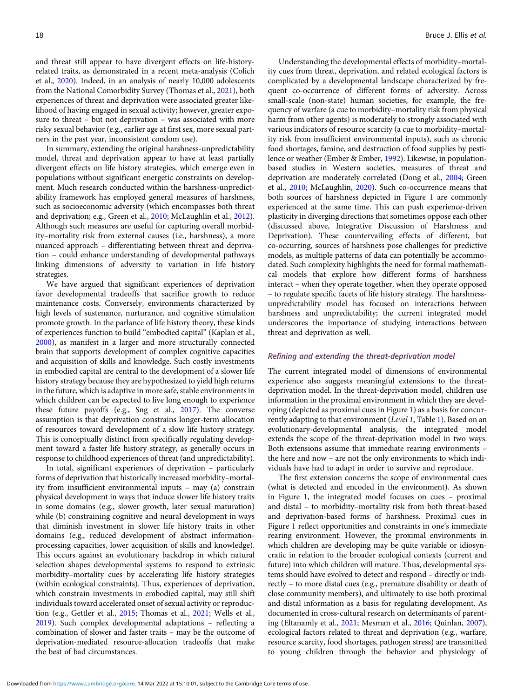and threat still appear to have divergent effects on life-historyrelated traits, as demonstrated in a recent meta-analysis (Colich et al., [2020](#page-19-0)). Indeed, in an analysis of nearly 10,000 adolescents from the National Comorbidity Survey (Thomas et al., [2021\)](#page-24-0), both experiences of threat and deprivation were associated greater likelihood of having engaged in sexual activity; however, greater exposure to threat – but not deprivation – was associated with more risky sexual behavior (e.g., earlier age at first sex, more sexual partners in the past year, inconsistent condom use).

In summary, extending the original harshness-unpredictability model, threat and deprivation appear to have at least partially divergent effects on life history strategies, which emerge even in populations without significant energetic constraints on development. Much research conducted within the harshness-unpredictability framework has employed general measures of harshness, such as socioeconomic adversity (which encompasses both threat and deprivation; e.g., Green et al., [2010;](#page-21-0) McLaughlin et al., [2012](#page-22-0)). Although such measures are useful for capturing overall morbidity–mortality risk from external causes (i.e., harshness), a more nuanced approach – differentiating between threat and deprivation – could enhance understanding of developmental pathways linking dimensions of adversity to variation in life history strategies.

We have argued that significant experiences of deprivation favor developmental tradeoffs that sacrifice growth to reduce maintenance costs. Conversely, environments characterized by high levels of sustenance, nurturance, and cognitive stimulation promote growth. In the parlance of life history theory, these kinds of experiences function to build "embodied capital" (Kaplan et al., [2000\)](#page-21-0), as manifest in a larger and more structurally connected brain that supports development of complex cognitive capacities and acquisition of skills and knowledge. Such costly investments in embodied capital are central to the development of a slower life history strategy because they are hypothesized to yield high returns in the future, which is adaptive in more safe, stable environments in which children can be expected to live long enough to experience these future payoffs (e.g., Sng et al., [2017](#page-23-0)). The converse assumption is that deprivation constrains longer-term allocation of resources toward development of a slow life history strategy. This is conceptually distinct from specifically regulating development toward a faster life history strategy, as generally occurs in response to childhood experiences of threat (and unpredictability).

In total, significant experiences of deprivation – particularly forms of deprivation that historically increased morbidity–mortality from insufficient environmental inputs – may (a) constrain physical development in ways that induce slower life history traits in some domains (e.g., slower growth, later sexual maturation) while (b) constraining cognitive and neural development in ways that diminish investment in slower life history traits in other domains (e.g., reduced development of abstract informationprocessing capacities, lower acquisition of skills and knowledge). This occurs against an evolutionary backdrop in which natural selection shapes developmental systems to respond to extrinsic morbidity–mortality cues by accelerating life history strategies (within ecological constraints). Thus, experiences of deprivation, which constrain investments in embodied capital, may still shift individuals toward accelerated onset of sexual activity or reproduction (e.g., Gettler et al., [2015;](#page-20-0) Thomas et al., [2021](#page-24-0); Wells et al., [2019\)](#page-24-0). Such complex developmental adaptations – reflecting a combination of slower and faster traits – may be the outcome of deprivation-mediated resource-allocation tradeoffs that make the best of bad circumstances.

Understanding the developmental effects of morbidity–mortality cues from threat, deprivation, and related ecological factors is complicated by a developmental landscape characterized by frequent co-occurrence of different forms of adversity. Across small-scale (non-state) human societies, for example, the frequency of warfare (a cue to morbidity–mortality risk from physical harm from other agents) is moderately to strongly associated with various indicators of resource scarcity (a cue to morbidity–mortality risk from insufficient environmental inputs), such as chronic food shortages, famine, and destruction of food supplies by pestilence or weather (Ember & Ember, [1992](#page-20-0)). Likewise, in populationbased studies in Western societies, measures of threat and deprivation are moderately correlated (Dong et al., [2004;](#page-20-0) Green et al., [2010](#page-21-0); McLaughlin, [2020\)](#page-22-0). Such co-occurrence means that both sources of harshness depicted in Figure [1](#page-7-0) are commonly experienced at the same time. This can push experience-driven plasticity in diverging directions that sometimes oppose each other (discussed above, Integrative Discussion of Harshness and Deprivation). These countervailing effects of different, but co-occurring, sources of harshness pose challenges for predictive models, as multiple patterns of data can potentially be accommodated. Such complexity highlights the need for formal mathematical models that explore how different forms of harshness interact – when they operate together, when they operate opposed – to regulate specific facets of life history strategy. The harshnessunpredictability model has focused on interactions between harshness and unpredictability; the current integrated model underscores the importance of studying interactions between threat and deprivation as well.

### Refining and extending the threat-deprivation model

The current integrated model of dimensions of environmental experience also suggests meaningful extensions to the threatdeprivation model. In the threat-deprivation model, children use information in the proximal environment in which they are developing (depicted as proximal cues in Figure [1\)](#page-7-0) as a basis for concurrently adapting to that environment (Level 1, Table [1](#page-8-0)). Based on an evolutionary-developmental analysis, the integrated model extends the scope of the threat-deprivation model in two ways. Both extensions assume that immediate rearing environments – the here and now – are not the only environments to which individuals have had to adapt in order to survive and reproduce.

The first extension concerns the scope of environmental cues (what is detected and encoded in the environment). As shown in Figure [1,](#page-7-0) the integrated model focuses on cues – proximal and distal – to morbidity–mortality risk from both threat-based and deprivation-based forms of harshness. Proximal cues in Figure [1](#page-7-0) reflect opportunities and constraints in one's immediate rearing environment. However, the proximal environments in which children are developing may be quite variable or idiosyncratic in relation to the broader ecological contexts (current and future) into which children will mature. Thus, developmental systems should have evolved to detect and respond – directly or indirectly – to more distal cues (e.g., premature disability or death of close community members), and ultimately to use both proximal and distal information as a basis for regulating development. As documented in cross-cultural research on determinants of parenting (Eltanamly et al., [2021;](#page-20-0) Mesman et al., [2016;](#page-22-0) Quinlan, [2007](#page-23-0)), ecological factors related to threat and deprivation (e.g., warfare, resource scarcity, food shortages, pathogen stress) are transmitted to young children through the behavior and physiology of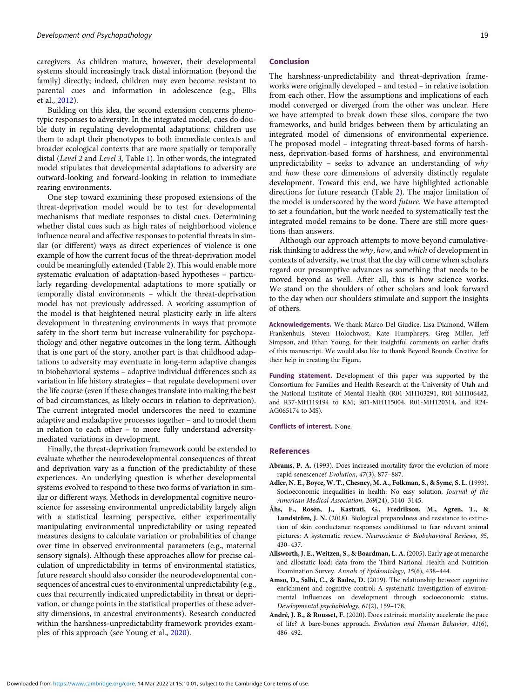<span id="page-18-0"></span>caregivers. As children mature, however, their developmental systems should increasingly track distal information (beyond the family) directly; indeed, children may even become resistant to parental cues and information in adolescence (e.g., Ellis et al., [2012](#page-20-0)).

Building on this idea, the second extension concerns phenotypic responses to adversity. In the integrated model, cues do double duty in regulating developmental adaptations: children use them to adapt their phenotypes to both immediate contexts and broader ecological contexts that are more spatially or temporally distal (Level 2 and Level 3, Table [1\)](#page-8-0). In other words, the integrated model stipulates that developmental adaptations to adversity are outward-looking and forward-looking in relation to immediate rearing environments.

One step toward examining these proposed extensions of the threat-deprivation model would be to test for developmental mechanisms that mediate responses to distal cues. Determining whether distal cues such as high rates of neighborhood violence influence neural and affective responses to potential threats in similar (or different) ways as direct experiences of violence is one example of how the current focus of the threat-deprivation model could be meaningfully extended (Table [2\)](#page-11-0). This would enable more systematic evaluation of adaptation-based hypotheses – particularly regarding developmental adaptations to more spatially or temporally distal environments – which the threat-deprivation model has not previously addressed. A working assumption of the model is that heightened neural plasticity early in life alters development in threatening environments in ways that promote safety in the short term but increase vulnerability for psychopathology and other negative outcomes in the long term. Although that is one part of the story, another part is that childhood adaptations to adversity may eventuate in long-term adaptive changes in biobehavioral systems – adaptive individual differences such as variation in life history strategies – that regulate development over the life course (even if these changes translate into making the best of bad circumstances, as likely occurs in relation to deprivation). The current integrated model underscores the need to examine adaptive and maladaptive processes together – and to model them in relation to each other – to more fully understand adversitymediated variations in development.

Finally, the threat-deprivation framework could be extended to evaluate whether the neurodevelopmental consequences of threat and deprivation vary as a function of the predictability of these experiences. An underlying question is whether developmental systems evolved to respond to these two forms of variation in similar or different ways. Methods in developmental cognitive neuroscience for assessing environmental unpredictability largely align with a statistical learning perspective, either experimentally manipulating environmental unpredictability or using repeated measures designs to calculate variation or probabilities of change over time in observed environmental parameters (e.g., maternal sensory signals). Although these approaches allow for precise calculation of unpredictability in terms of environmental statistics, future research should also consider the neurodevelopmental consequences of ancestral cues to environmental unpredictability (e.g., cues that recurrently indicated unpredictability in threat or deprivation, or change points in the statistical properties of these adversity dimensions, in ancestral environments). Research conducted within the harshness-unpredictability framework provides examples of this approach (see Young et al., [2020](#page-24-0)).

### Conclusion

The harshness-unpredictability and threat-deprivation frameworks were originally developed – and tested – in relative isolation from each other. How the assumptions and implications of each model converged or diverged from the other was unclear. Here we have attempted to break down these silos, compare the two frameworks, and build bridges between them by articulating an integrated model of dimensions of environmental experience. The proposed model – integrating threat-based forms of harshness, deprivation-based forms of harshness, and environmental unpredictability – seeks to advance an understanding of why and how these core dimensions of adversity distinctly regulate development. Toward this end, we have highlighted actionable directions for future research (Table [2](#page-11-0)). The major limitation of the model is underscored by the word future. We have attempted to set a foundation, but the work needed to systematically test the integrated model remains to be done. There are still more questions than answers.

Although our approach attempts to move beyond cumulativerisk thinking to address the why, how, and which of development in contexts of adversity, we trust that the day will come when scholars regard our presumptive advances as something that needs to be moved beyond as well. After all, this is how science works. We stand on the shoulders of other scholars and look forward to the day when our shoulders stimulate and support the insights of others.

Acknowledgements. We thank Marco Del Giudice, Lisa Diamond, Willem Frankenhuis, Steven Holochwost, Kate Humphreys, Greg Miller, Jeff Simpson, and Ethan Young, for their insightful comments on earlier drafts of this manuscript. We would also like to thank Beyond Bounds Creative for their help in creating the Figure.

Funding statement. Development of this paper was supported by the Consortium for Families and Health Research at the University of Utah and the National Institute of Mental Health (R01-MH103291, R01-MH106482, and R37-MH119194 to KM; R01-MH115004, R01-MH120314, and R24- AG065174 to MS).

Conflicts of interest. None.

# References

- Abrams, P. A. (1993). Does increased mortality favor the evolution of more rapid senescence? Evolution, 47(3), 877–887.
- Adler, N. E., Boyce, W. T., Chesney, M. A., Folkman, S., & Syme, S. L. (1993). Socioeconomic inequalities in health: No easy solution. Journal of the American Medical Association, 269(24), 3140–3145.
- Åhs, F., Rosén, J., Kastrati, G., Fredrikson, M., Agren, T., & Lundström, J. N. (2018). Biological preparedness and resistance to extinction of skin conductance responses conditioned to fear relevant animal pictures: A systematic review. Neuroscience & Biobehavioral Reviews, 95, 430–437.
- Allsworth, J. E., Weitzen, S., & Boardman, L. A. (2005). Early age at menarche and allostatic load: data from the Third National Health and Nutrition Examination Survey. Annals of Epidemiology, 15(6), 438–444.
- Amso, D., Salhi, C., & Badre, D. (2019). The relationship between cognitive enrichment and cognitive control: A systematic investigation of environmental influences on development through socioeconomic status. Developmental psychobiology, 61(2), 159–178.
- André, J. B., & Rousset, F. (2020). Does extrinsic mortality accelerate the pace of life? A bare-bones approach. Evolution and Human Behavior, 41(6), 486–492.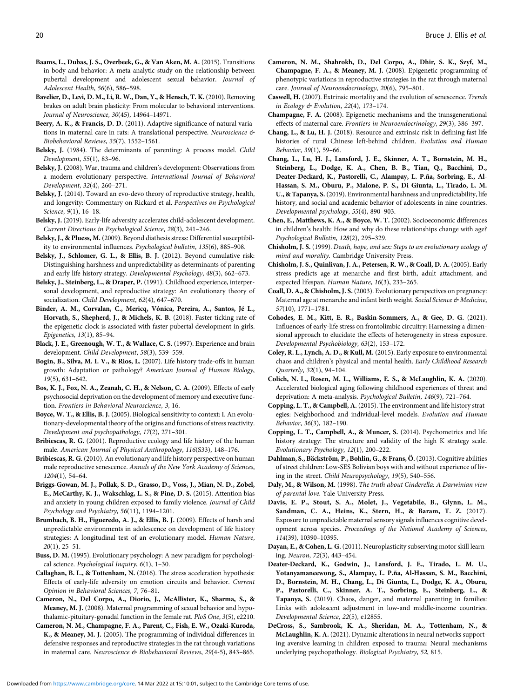- <span id="page-19-0"></span>Baams, L., Dubas, J. S., Overbeek, G., & Van Aken, M. A. (2015). Transitions in body and behavior: A meta-analytic study on the relationship between pubertal development and adolescent sexual behavior. Journal of Adolescent Health, 56(6), 586–598.
- Bavelier, D., Levi, D. M., Li, R. W., Dan, Y., & Hensch, T. K. (2010). Removing brakes on adult brain plasticity: From molecular to behavioral interventions. Journal of Neuroscience, 30(45), 14964–14971.
- Beery, A. K., & Francis, D. D. (2011). Adaptive significance of natural variations in maternal care in rats: A translational perspective. Neuroscience & Biobehavioral Reviews, 35(7), 1552–1561.
- Belsky, J. (1984). The determinants of parenting: A process model. Child Development, 55(1), 83–96.
- Belsky, J. (2008). War, trauma and children's development: Observations from a modern evolutionary perspective. International Journal of Behavioral Development, 32(4), 260–271.
- Belsky, J. (2014). Toward an evo-devo theory of reproductive strategy, health, and longevity: Commentary on Rickard et al. Perspectives on Psychological Science, 9(1), 16–18.
- Belsky, J. (2019). Early-life adversity accelerates child-adolescent development. Current Directions in Psychological Science, 28(3), 241–246.
- Belsky, J., & Pluess, M. (2009). Beyond diathesis stress: Differential susceptibility to environmental influences. Psychological bulletin, 135(6), 885–908.
- Belsky, J., Schlomer, G. L., & Ellis, B. J. (2012). Beyond cumulative risk: Distinguishing harshness and unpredictability as determinants of parenting and early life history strategy. Developmental Psychology, 48(3), 662–673.
- Belsky, J., Steinberg, L., & Draper, P. (1991). Childhood experience, interpersonal development, and reproductive strategy: An evolutionary theory of socialization. Child Development, 62(4), 647–670.
- Binder, A. M., Corvalan, C., Mericq, Vónica, Pereira, A., Santos, Jé L., Horvath, S., Shepherd, J., & Michels, K. B. (2018). Faster ticking rate of the epigenetic clock is associated with faster pubertal development in girls. Epigenetics, 13(1), 85–94.
- Black, J. E., Greenough, W. T., & Wallace, C. S. (1997). Experience and brain development. Child Development, 58(3), 539–559.
- Bogin, B., Silva, M. I. V., & Rios, L. (2007). Life history trade-offs in human growth: Adaptation or pathology? American Journal of Human Biology, 19(5), 631–642.
- Bos, K. J., Fox, N. A., Zeanah, C. H., & Nelson, C. A. (2009). Effects of early psychosocial deprivation on the development of memory and executive function. Frontiers in Behavioral Neuroscience, 3, 16.
- Boyce, W. T., & Ellis, B. J. (2005). Biological sensitivity to context: I. An evolutionary-developmental theory of the origins and functions of stress reactivity. Development and psychopathology, 17(2), 271–301.
- Bribiescas, R. G. (2001). Reproductive ecology and life history of the human male. American Journal of Physical Anthropology, 116(S33), 148–176.
- Bribiescas, R. G. (2010). An evolutionary and life history perspective on human male reproductive senescence. Annals of the New York Academy of Sciences, 1204(1), 54–64.
- Briggs-Gowan, M. J., Pollak, S. D., Grasso, D., Voss, J., Mian, N. D., Zobel, E., McCarthy, K. J., Wakschlag, L. S., & Pine, D. S. (2015). Attention bias and anxiety in young children exposed to family violence. Journal of Child Psychology and Psychiatry, 56(11), 1194–1201.
- Brumbach, B. H., Figueredo, A. J., & Ellis, B. J. (2009). Effects of harsh and unpredictable environments in adolescence on development of life history strategies: A longitudinal test of an evolutionary model. Human Nature, 20(1), 25–51.
- Buss, D. M. (1995). Evolutionary psychology: A new paradigm for psychological science. Psychological Inquiry, 6(1), 1–30.
- Callaghan, B. L., & Tottenham, N. (2016). The stress acceleration hypothesis: Effects of early-life adversity on emotion circuits and behavior. Current Opinion in Behavioral Sciences, 7, 76–81.
- Cameron, N., Del Corpo, A., Diorio, J., McAllister, K., Sharma, S., & Meaney, M. J. (2008). Maternal programming of sexual behavior and hypothalamic-pituitary-gonadal function in the female rat. PloS One, 3(5), e2210.
- Cameron, N. M., Champagne, F. A., Parent, C., Fish, E. W., Ozaki-Kuroda, K., & Meaney, M. J. (2005). The programming of individual differences in defensive responses and reproductive strategies in the rat through variations in maternal care. Neuroscience & Biobehavioral Reviews, 29(4-5), 843-865.
- Cameron, N. M., Shahrokh, D., Del Corpo, A., Dhir, S. K., Szyf, M., Champagne, F. A., & Meaney, M. J. (2008). Epigenetic programming of phenotypic variations in reproductive strategies in the rat through maternal care. Journal of Neuroendocrinology, 20(6), 795–801.
- Caswell, H. (2007). Extrinsic mortality and the evolution of senescence. Trends in Ecology & Evolution, 22(4), 173–174.
- Champagne, F. A. (2008). Epigenetic mechanisms and the transgenerational effects of maternal care. Frontiers in Neuroendocrinology, 29(3), 386–397.
- Chang, L., & Lu, H. J. (2018). Resource and extrinsic risk in defining fast life histories of rural Chinese left-behind children. Evolution and Human Behavior, 39(1), 59–66.
- Chang, L., Lu, H. J., Lansford, J. E., Skinner, A. T., Bornstein, M. H., Steinberg, L., Dodge, K. A., Chen, B. B., Tian, Q., Bacchini, D., Deater-Deckard, K., Pastorelli, C., Alampay, L. P.ña, Sorbring, E., Al-Hassan, S. M., Oburu, P., Malone, P. S., Di Giunta, L., Tirado, L. M. U., & Tapanya, S. (2019). Environmental harshness and unpredictability, life history, and social and academic behavior of adolescents in nine countries. Developmental psychology, 55(4), 890–903.
- Chen, E., Matthews, K. A., & Boyce, W. T. (2002). Socioeconomic differences in children's health: How and why do these relationships change with age? Psychological Bulletin, 128(2), 295–329.
- Chisholm, J. S. (1999). Death, hope, and sex: Steps to an evolutionary ecology of mind and morality. Cambridge University Press.
- Chisholm, J. S., Quinlivan, J. A., Petersen, R. W., & Coall, D. A. (2005). Early stress predicts age at menarche and first birth, adult attachment, and expected lifespan. Human Nature, 16(3), 233–265.
- Coall, D. A., & Chisholm, J. S. (2003). Evolutionary perspectives on pregnancy: Maternal age at menarche and infant birth weight. Social Science & Medicine, 57(10), 1771–1781.
- Cohodes, E. M., Kitt, E. R., Baskin-Sommers, A., & Gee, D. G. (2021). Influences of early-life stress on frontolimbic circuitry: Harnessing a dimensional approach to elucidate the effects of heterogeneity in stress exposure. Developmental Psychobiology, 63(2), 153–172.
- Coley, R. L., Lynch, A. D., & Kull, M. (2015). Early exposure to environmental chaos and children's physical and mental health. Early Childhood Research Quarterly, 32(1), 94–104.
- Colich, N. L., Rosen, M. L., Williams, E. S., & McLaughlin, K. A. (2020). Accelerated biological aging following childhood experiences of threat and deprivation: A meta-analysis. Psychological Bulletin, 146(9), 721–764.
- Copping, L. T., & Campbell, A. (2015). The environment and life history strategies: Neighborhood and individual-level models. Evolution and Human Behavior, 36(3), 182–190.
- Copping, L. T., Campbell, A., & Muncer, S. (2014). Psychometrics and life history strategy: The structure and validity of the high K strategy scale. Evolutionary Psychology, 12(1), 200–222.
- Dahlman, S., Bäckström, P., Bohlin, G., & Frans, Ö. (2013). Cognitive abilities of street children: Low-SES Bolivian boys with and without experience of living in the street. Child Neuropsychology, 19(5), 540–556.
- Daly, M., & Wilson, M. (1998). The truth about Cinderella: A Darwinian view of parental love. Yale University Press.
- Davis, E. P., Stout, S. A., Molet, J., Vegetabile, B., Glynn, L. M., Sandman, C. A., Heins, K., Stern, H., & Baram, T. Z. (2017). Exposure to unpredictable maternal sensory signals influences cognitive development across species. Proceedings of the National Academy of Sciences, 114(39), 10390–10395.
- Dayan, E., & Cohen, L. G. (2011). Neuroplasticity subserving motor skill learning. Neuron, 72(3), 443–454.
- Deater‐Deckard, K., Godwin, J., Lansford, J. E., Tirado, L. M. U., Yotanyamaneewong, S., Alampay, L. P.ña, Al-Hassan, S. M., Bacchini, D., Bornstein, M. H., Chang, L., Di Giunta, L., Dodge, K. A., Oburu, P., Pastorelli, C., Skinner, A. T., Sorbring, E., Steinberg, L., & Tapanya, S. (2019). Chaos, danger, and maternal parenting in families: Links with adolescent adjustment in low-and middle-income countries. Developmental Science, 22(5), e12855.
- DeCross, S., Sambrook, K. A., Sheridan, M. A., Tottenham, N., & McLaughlin, K. A. (2021). Dynamic alterations in neural networks supporting aversive learning in children exposed to trauma: Neural mechanisms underlying psychopathology. Biological Psychiatry, 52, 815.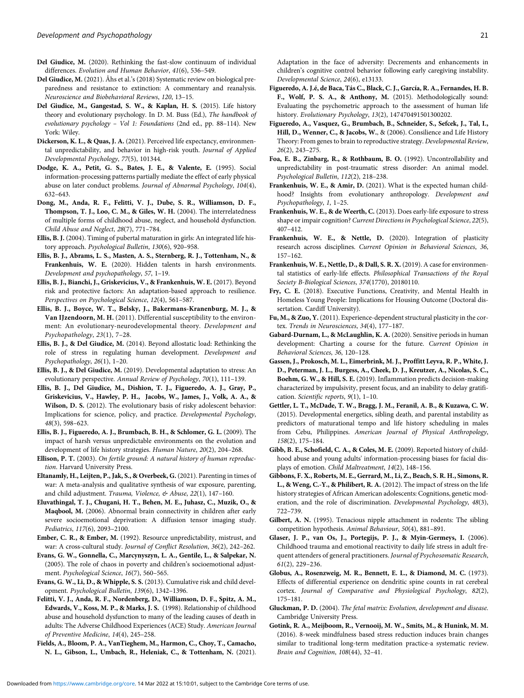- <span id="page-20-0"></span>Del Giudice, M. (2020). Rethinking the fast-slow continuum of individual differences. Evolution and Human Behavior, 41(6), 536–549.
- Del Giudice, M. (2021). Åhs et al.'s (2018) Systematic review on biological preparedness and resistance to extinction: A commentary and reanalysis. Neuroscience and Biobehavioral Reviews, 120, 13–15.
- Del Giudice, M., Gangestad, S. W., & Kaplan, H. S. (2015). Life history theory and evolutionary psychology. In D. M. Buss (Ed.), The handbook of evolutionary psychology – Vol 1: Foundations (2nd ed., pp. 88–114). New York: Wiley.
- Dickerson, K. L., & Quas, J. A. (2021). Perceived life expectancy, environmental unpredictability, and behavior in high-risk youth. Journal of Applied Developmental Psychology, 77(5), 101344.
- Dodge, K. A., Petit, G. S., Bates, J. E., & Valente, E. (1995). Social information-processing patterns partially mediate the effect of early physical abuse on later conduct problems. Journal of Abnormal Psychology, 104(4), 632–643.
- Dong, M., Anda, R. F., Felitti, V. J., Dube, S. R., Williamson, D. F., Thompson, T. J., Loo, C. M., & Giles, W. H. (2004). The interrelatedness of multiple forms of childhood abuse, neglect, and household dysfunction. Child Abuse and Neglect, 28(7), 771–784.
- Ellis, B. J. (2004). Timing of pubertal maturation in girls: An integrated life history approach. Psychological Bulletin, 130(6), 920–958.
- Ellis, B. J., Abrams, L. S., Masten, A. S., Sternberg, R. J., Tottenham, N., & Frankenhuis, W. E. (2020). Hidden talents in harsh environments. Development and psychopathology, 57, 1–19.
- Ellis, B. J., Bianchi, J., Griskevicius, V., & Frankenhuis, W. E. (2017). Beyond risk and protective factors: An adaptation-based approach to resilience. Perspectives on Psychological Science, 12(4), 561–587.
- Ellis, B. J., Boyce, W. T., Belsky, J., Bakermans-Kranenburg, M. J., & Van IJzendoorn, M. H. (2011). Differential susceptibility to the environment: An evolutionary-neurodevelopmental theory. Development and Psychopathology, 23(1), 7–28.
- Ellis, B. J., & Del Giudice, M. (2014). Beyond allostatic load: Rethinking the role of stress in regulating human development. Development and Psychopathology, 26(1), 1–20.
- Ellis, B. J., & Del Giudice, M. (2019). Developmental adaptation to stress: An evolutionary perspective. Annual Review of Psychology, 70(1), 111–139.
- Ellis, B. J., Del Giudice, M., Dishion, T. J., Figueredo, A. J., Gray, P., Griskevicius, V., Hawley, P. H., Jacobs, W., James, J., Volk, A. A., & Wilson, D. S. (2012). The evolutionary basis of risky adolescent behavior: Implications for science, policy, and practice. Developmental Psychology, 48(3), 598–623.
- Ellis, B. J., Figueredo, A. J., Brumbach, B. H., & Schlomer, G. L. (2009). The impact of harsh versus unpredictable environments on the evolution and development of life history strategies. Human Nature, 20(2), 204–268.
- Ellison, P. T. (2003). On fertile ground: A natural history of human reproduction. Harvard University Press.
- Eltanamly, H., Leijten, P., Jak, S., & Overbeek, G. (2021). Parenting in times of war: A meta-analysis and qualitative synthesis of war exposure, parenting, and child adjustment. Trauma, Violence, & Abuse, 22(1), 147-160.
- Eluvathingal, T. J., Chugani, H. T., Behen, M. E., Juhasz, C., Muzik, O., & Maqbool, M. (2006). Abnormal brain connectivity in children after early severe socioemotional deprivation: A diffusion tensor imaging study. Pediatrics, 117(6), 2093–2100.
- Ember, C. R., & Ember, M. (1992). Resource unpredictability, mistrust, and war: A cross-cultural study. Journal of Conflict Resolution, 36(2), 242–262.
- Evans, G. W., Gonnella, C., Marcynyszyn, L. A., Gentile, L., & Salpekar, N. (2005). The role of chaos in poverty and children's socioemotional adjustment. Psychological Science, 16(7), 560–565.
- Evans, G. W., Li, D., & Whipple, S. S. (2013). Cumulative risk and child development. Psychological Bulletin, 139(6), 1342–1396.
- Felitti, V. J., Anda, R. F., Nordenberg, D., Williamson, D. F., Spitz, A. M., Edwards, V., Koss, M. P., & Marks, J. S. (1998). Relationship of childhood abuse and household dysfunction to many of the leading causes of death in adults: The Adverse Childhood Experiences (ACE) Study. American Journal of Preventive Medicine, 14(4), 245–258.
- Fields, A., Bloom, P. A., VanTieghem, M., Harmon, C., Choy, T., Camacho, N. L., Gibson, L., Umbach, R., Heleniak, C., & Tottenham, N. (2021).

Adaptation in the face of adversity: Decrements and enhancements in children's cognitive control behavior following early caregiving instability. Developmental Science, 24(6), e13133.

- Figueredo, A. J.é, de Baca, Tás C., Black, C. J., García, R. A., Fernandes, H. B. F., Wolf, P. S. A., & Anthony, M. (2015). Methodologically sound: Evaluating the psychometric approach to the assessment of human life history. Evolutionary Psychology, 13(2), 147470491501300202.
- Figueredo, A., Vasquez, G., Brumbach, B., Schneider, S., Sefcek, J., Tal, I., Hill, D., Wenner, C., & Jacobs, W., & (2006). Consilience and Life History Theory: From genes to brain to reproductive strategy. Developmental Review, 26(2), 243–275.
- Foa, E. B., Zinbarg, R., & Rothbaum, B. O. (1992). Uncontrollability and unpredictability in post-traumatic stress disorder: An animal model. Psychological Bulletin, 112(2), 218–238.
- Frankenhuis, W. E., & Amir, D. (2021). What is the expected human childhood? Insights from evolutionary anthropology. Development and Psychopathology, 1, 1–25.
- Frankenhuis, W. E., & de Weerth, C. (2013). Does early-life exposure to stress shape or impair cognition? Current Directions in Psychological Science, 22(5), 407–412.
- Frankenhuis, W. E., & Nettle, D. (2020). Integration of plasticity research across disciplines. Current Opinion in Behavioral Sciences, 36, 157–162.
- Frankenhuis, W. E., Nettle, D., & Dall, S. R. X. (2019). A case for environmental statistics of early-life effects. Philosophical Transactions of the Royal Society B-Biological Sciences, 374(1770), 20180110.
- Fry, C. E. (2018). Executive Functions, Creativity, and Mental Health in Homeless Young People: Implications for Housing Outcome (Doctoral dissertation. Cardiff University).
- Fu, M., & Zuo, Y. (2011). Experience-dependent structural plasticity in the cortex. Trends in Neurosciences, 34(4), 177–187.
- Gabard-Durnam, L., & McLaughlin, K. A. (2020). Sensitive periods in human development: Charting a course for the future. Current Opinion in Behavioral Sciences, 36, 120–128.
- Gassen, J., Prokosch, M. L., Eimerbrink, M. J., Proffitt Leyva, R. P., White, J. D., Peterman, J. L., Burgess, A., Cheek, D. J., Kreutzer, A., Nicolas, S. C., Boehm, G. W., & Hill, S. E. (2019). Inflammation predicts decision-making characterized by impulsivity, present focus, and an inability to delay gratification. Scientific reports, 9(1), 1–10.
- Gettler, L. T., McDade, T. W., Bragg, J. M., Feranil, A. B., & Kuzawa, C. W. (2015). Developmental energetics, sibling death, and parental instability as predictors of maturational tempo and life history scheduling in males from Cebu, Philippines. American Journal of Physical Anthropology, 158(2), 175–184.
- Gibb, B. E., Schofield, C. A., & Coles, M. E. (2009). Reported history of childhood abuse and young adults' information-processing biases for facial displays of emotion. Child Maltreatment, 14(2), 148–156.
- Gibbons, F. X., Roberts, M. E., Gerrard, M., Li, Z., Beach, S. R. H., Simons, R. L., & Weng, C.-Y., & Philibert, R. A. (2012). The impact of stress on the life history strategies of African American adolescents: Cognitions, genetic moderation, and the role of discrimination. Developmental Psychology, 48(3), 722–739.
- Gilbert, A. N. (1995). Tenacious nipple attachment in rodents: The sibling competition hypothesis. Animal Behaviour, 50(4), 881–891.
- Glaser, J. P., van Os, J., Portegijs, P. J., & Myin-Germeys, I. (2006). Childhood trauma and emotional reactivity to daily life stress in adult frequent attenders of general practitioners. Journal of Psychosomatic Research, 61(2), 229–236.
- Globus, A., Rosenzweig, M. R., Bennett, E. L., & Diamond, M. C. (1973). Effects of differential experience on dendritic spine counts in rat cerebral cortex. Journal of Comparative and Physiological Psychology, 82(2), 175–181.
- Gluckman, P. D. (2004). The fetal matrix: Evolution, development and disease. Cambridge University Press.
- Gotink, R. A., Meijboom, R., Vernooij, M. W., Smits, M., & Hunink, M. M. (2016). 8-week mindfulness based stress reduction induces brain changes similar to traditional long-term meditation practice-a systematic review. Brain and Cognition, 108(44), 32–41.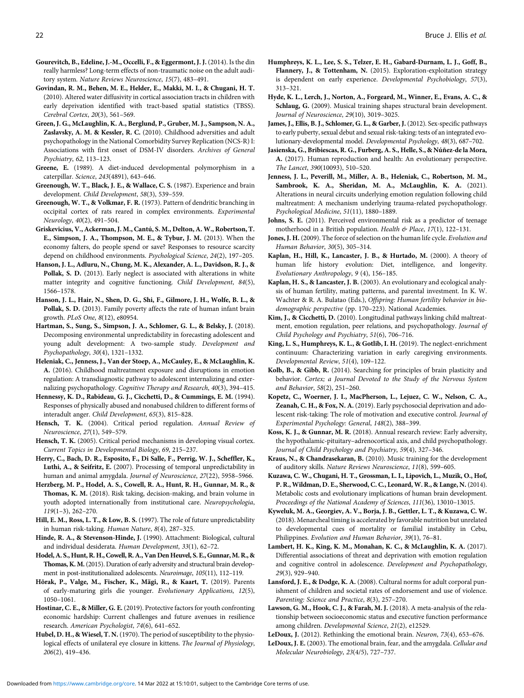- <span id="page-21-0"></span>Gourevitch, B., Edeline, J.-M., Occelli, F., & Eggermont, J. J. (2014). Is the din really harmless? Long-term effects of non-traumatic noise on the adult auditory system. Nature Reviews Neuroscience, 15(7), 483–491.
- Govindan, R. M., Behen, M. E., Helder, E., Makki, M. I., & Chugani, H. T. (2010). Altered water diffusivity in cortical association tracts in children with early deprivation identified with tract-based spatial statistics (TBSS). Cerebral Cortex, 20(3), 561–569.
- Green, J. G., McLaughlin, K. A., Berglund, P., Gruber, M. J., Sampson, N. A., Zaslavsky, A. M. & Kessler, R. C. (2010). Childhood adversities and adult psychopathology in the National Comorbidity Survey Replication (NCS-R) I: Associations with first onset of DSM-IV disorders. Archives of General Psychiatry, 62, 113–123.
- Greene, E. (1989). A diet-induced developmental polymorphism in a caterpillar. Science, 243(4891), 643–646.
- Greenough, W. T., Black, J. E., & Wallace, C. S. (1987). Experience and brain development. Child Development, 58(3), 539–559.
- Greenough, W. T., & Volkmar, F. R. (1973). Pattern of dendritic branching in occipital cortex of rats reared in complex environments. Experimental Neurology, 40(2), 491–504.
- Griskevicius, V., Ackerman, J. M., Cantú, S. M., Delton, A. W., Robertson, T. E., Simpson, J. A., Thompson, M. E., & Tybur, J. M. (2013). When the economy falters, do people spend or save? Responses to resource scarcity depend on childhood environments. Psychological Science, 24(2), 197–205.
- Hanson, J. L., Adluru, N., Chung, M. K., Alexander, A. L., Davidson, R. J., & Pollak, S. D. (2013). Early neglect is associated with alterations in white matter integrity and cognitive functioning. Child Development, 84(5), 1566–1578.
- Hanson, J. L., Hair, N., Shen, D. G., Shi, F., Gilmore, J. H., Wolfe, B. L., & Pollak, S. D. (2013). Family poverty affects the rate of human infant brain growth. PLoS One, 8(12), e80954.
- Hartman, S., Sung, S., Simpson, J. A., Schlomer, G. L., & Belsky, J. (2018). Decomposing environmental unpredictability in forecasting adolescent and young adult development: A two-sample study. Development and Psychopathology, 30(4), 1321–1332.
- Heleniak, C., Jenness, J., Van der Stoep, A., McCauley, E., & McLaughlin, K. A. (2016). Childhood maltreatment exposure and disruptions in emotion regulation: A transdiagnostic pathway to adolescent internalizing and externalizing psychopathology. Cognitive Therapy and Research, 40(3), 394–415.
- Hennessy, K. D., Rabideau, G. J., Cicchetti, D., & Cummings, E. M. (1994). Responses of physically abused and nonabused children to different forms of interadult anger. Child Development, 65(3), 815–828.
- Hensch, T. K. (2004). Critical period regulation. Annual Review of Neuroscience, 27(1), 549–579.
- Hensch, T. K. (2005). Critical period mechanisms in developing visual cortex. Current Topics in Developmental Biology, 69, 215–237.
- Herry, C., Bach, D. R., Esposito, F., Di Salle, F., Perrig, W. J., Scheffler, K., Luthi, A., & Seifritz, E. (2007). Processing of temporal unpredictability in human and animal amygdala. Journal of Neuroscience, 27(22), 5958–5966.
- Herzberg, M. P., Hodel, A. S., Cowell, R. A., Hunt, R. H., Gunnar, M. R., & Thomas, K. M. (2018). Risk taking, decision-making, and brain volume in youth adopted internationally from institutional care. Neuropsychologia, 119(1–3), 262–270.
- Hill, E. M., Ross, L. T., & Low, B. S. (1997). The role of future unpredictability in human risk-taking. Human Nature, 8(4), 287–325.
- Hinde, R. A., & Stevenson-Hinde, J. (1990). Attachment: Biological, cultural and individual desiderata. Human Development, 33(1), 62–72.
- Hodel, A. S., Hunt, R. H., Cowell, R. A., Van Den Heuvel, S. E., Gunnar, M. R., & Thomas, K. M.(2015). Duration of early adversity and structural brain development in post-institutionalized adolescents. Neuroimage, 105(11), 112–119.
- Hõrak, P., Valge, M., Fischer, K., Mägi, R., & Kaart, T. (2019). Parents of early-maturing girls die younger. Evolutionary Applications, 12(5), 1050–1061.
- Hostinar, C. E., & Miller, G. E. (2019). Protective factors for youth confronting economic hardship: Current challenges and future avenues in resilience research. American Psychologist, 74(6), 641–652.
- Hubel, D. H., & Wiesel, T. N. (1970). The period of susceptibility to the physiological effects of unilateral eye closure in kittens. The Journal of Physiology, 206(2), 419–436.
- Humphreys, K. L., Lee, S. S., Telzer, E. H., Gabard-Durnam, L. J., Goff, B., Flannery, J., & Tottenham, N. (2015). Exploration-exploitation strategy is dependent on early experience. Developmental Psychobiology, 57(3), 313–321.
- Hyde, K. L., Lerch, J., Norton, A., Forgeard, M., Winner, E., Evans, A. C., & Schlaug, G. (2009). Musical training shapes structural brain development. Journal of Neuroscience, 29(10), 3019–3025.
- James, J., Ellis, B. J., Schlomer, G. L., & Garber, J. (2012). Sex-specific pathways to early puberty, sexual debut and sexual risk-taking: tests of an integrated evolutionary-developmental model. Developmental Psychology, 48(3), 687–702.
- Jasienska, G., Bribiescas, R. G., Furberg, A. S., Helle, S., & Núñez-de la Mora, A. (2017). Human reproduction and health: An evolutionary perspective. The Lancet, 390(10093), 510–520.
- Jenness, J. L., Peverill, M., Miller, A. B., Heleniak, C., Robertson, M. M., Sambrook, K. A., Sheridan, M. A., McLaughlin, K. A. (2021). Alterations in neural circuits underlying emotion regulation following child maltreatment: A mechanism underlying trauma-related psychopathology. Psychological Medicine, 51(11), 1880–1889.
- Johns, S. E. (2011). Perceived environmental risk as a predictor of teenage motherhood in a British population. Health & Place, 17(1), 122-131.
- Jones, J. H. (2009). The force of selection on the human life cycle. Evolution and Human Behavior, 30(5), 305–314.
- Kaplan, H., Hill, K., Lancaster, J. B., & Hurtado, M. (2000). A theory of human life history evolution: Diet, intelligence, and longevity. Evolutionary Anthropology, 9 (4), 156–185.
- Kaplan, H. S., & Lancaster, J. B. (2003). An evolutionary and ecological analysis of human fertility, mating patterns, and parental investment. In K. W. Wachter & R. A. Bulatao (Eds.), Offspring: Human fertility behavior in biodemographic perspective (pp. 170–223). National Academies.
- Kim, J., & Cicchetti, D. (2010). Longitudinal pathways linking child maltreatment, emotion regulation, peer relations, and psychopathology. Journal of Child Psychology and Psychiatry, 51(6), 706–716.
- King, L. S., Humphreys, K. L., & Gotlib, I. H. (2019). The neglect-enrichment continuum: Characterizing variation in early caregiving environments. Developmental Review, 51(4), 109–122.
- Kolb, B., & Gibb, R. (2014). Searching for principles of brain plasticity and behavior. Cortex; a Journal Devoted to the Study of the Nervous System and Behavior, 58(2), 251–260.
- Kopetz, C., Woerner, J. I., MacPherson, L., Lejuez, C. W., Nelson, C. A., Zeanah, C. H., & Fox, N. A. (2019). Early psychosocial deprivation and adolescent risk-taking: The role of motivation and executive control. Journal of Experimental Psychology: General, 148(2), 388–399.
- Koss, K. J., & Gunnar, M. R. (2018). Annual research review: Early adversity, the hypothalamic-pituitary–adrenocortical axis, and child psychopathology. Journal of Child Psychology and Psychiatry, 59(4), 327–346.
- Kraus, N., & Chandrasekaran, B. (2010). Music training for the development of auditory skills. Nature Reviews Neuroscience, 11(8), 599–605.
- Kuzawa, C. W., Chugani, H. T., Grossman, L. I., Lipovich, L., Muzik, O., Hof, P. R., Wildman, D. E., Sherwood, C. C., Leonard, W. R., & Lange, N. (2014). Metabolic costs and evolutionary implications of human brain development. Proceedings of the National Academy of Sciences, 111(36), 13010–13015.
- Kyweluk, M. A., Georgiev, A. V., Borja, J. B., Gettler, L. T., & Kuzawa, C. W. (2018). Menarcheal timing is accelerated by favorable nutrition but unrelated to developmental cues of mortality or familial instability in Cebu, Philippines. Evolution and Human Behavior, 39(1), 76–81.
- Lambert, H. K., King, K. M., Monahan, K. C., & McLaughlin, K. A. (2017). Differential associations of threat and deprivation with emotion regulation and cognitive control in adolescence. Development and Psychopathology, 29(3), 929–940.
- Lansford, J. E., & Dodge, K. A. (2008). Cultural norms for adult corporal punishment of children and societal rates of endorsement and use of violence. Parenting: Science and Practice, 8(3), 257–270.
- Lawson, G. M., Hook, C. J., & Farah, M. J. (2018). A meta-analysis of the relationship between socioeconomic status and executive function performance among children. Developmental Science, 21(2), e12529.
- LeDoux, J. (2012). Rethinking the emotional brain. Neuron, 73(4), 653–676.
- LeDoux, J. E. (2003). The emotional brain, fear, and the amygdala. Cellular and Molecular Neurobiology, 23(4/5), 727–737.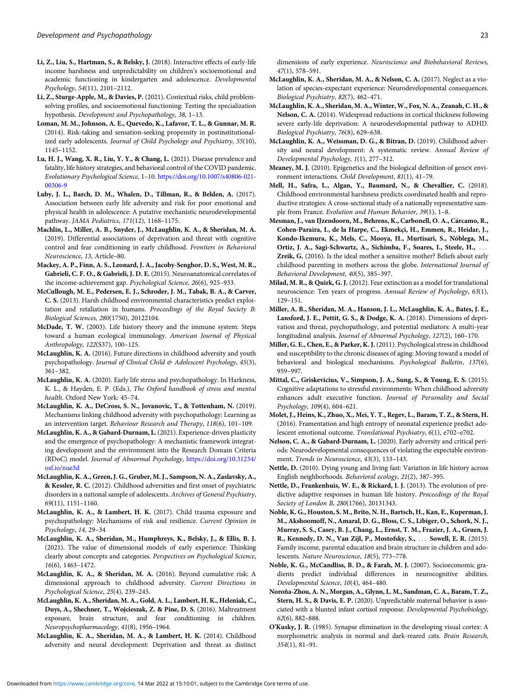- <span id="page-22-0"></span>Li, Z., Liu, S., Hartman, S., & Belsky, J. (2018). Interactive effects of early-life income harshness and unpredictability on children's socioemotional and academic functioning in kindergarten and adolescence. Developmental Psychology, 54(11), 2101–2112.
- Li, Z., Sturge-Apple, M., & Davies, P. (2021). Contextual risks, child problemsolving profiles, and socioemotional functioning: Testing the specialization hypothesis. Development and Psychopathology, 38, 1–13.
- Loman, M. M., Johnson, A. E., Quevedo, K., Lafavor, T. L., & Gunnar, M. R. (2014). Risk-taking and sensation-seeking propensity in postinstitutionalized early adolescents. Journal of Child Psychology and Psychiatry, 55(10), 1145–1152.
- Lu, H. J., Wang, X. R., Liu, Y. Y., & Chang, L. (2021). Disease prevalence and fatality, life history strategies, and behavioral control of the COVID pandemic. Evolutionary Psychological Science, 1–10. [https://doi.org/10.1007/s40806-021-](https://doi.org/10.1007/s40806-021-00306-9) [00306-9](https://doi.org/10.1007/s40806-021-00306-9)
- Luby, J. L., Barch, D. M., Whalen, D., Tillman, R., & Belden, A. (2017). Association between early life adversity and risk for poor emotional and physical health in adolescence: A putative mechanistic neurodevelopmental pathway. JAMA Pediatrics, 171(12), 1168–1175.
- Machlin, L., Miller, A. B., Snyder, J., McLaughlin, K. A., & Sheridan, M. A. (2019). Differential associations of deprivation and threat with cognitive control and fear conditioning in early childhood. Frontiers in Behavioral Neuroscience, 13, Article–80.
- Mackey, A. P., Finn, A. S., Leonard, J. A., Jacoby-Senghor, D. S., West, M. R., Gabrieli, C. F. O., & Gabrieli, J. D. E. (2015). Neuroanatomical correlates of the income-achievement gap. Psychological Science, 26(6), 925–933.
- McCullough, M. E., Pedersen, E. J., Schroder, J. M., Tabak, B. A., & Carver, C. S. (2013). Harsh childhood environmental characteristics predict exploitation and retaliation in humans. Proceedings of the Royal Society B: Biological Sciences, 280(1750), 20122104.
- McDade, T. W. (2003). Life history theory and the immune system: Steps toward a human ecological immunology. American Journal of Physical Anthropology, 122(S37), 100–125.
- McLaughlin, K. A. (2016). Future directions in childhood adversity and youth psychopathology. Journal of Clinical Child & Adolescent Psychology, 45(3), 361–382.
- McLaughlin, K. A. (2020). Early life stress and psychopathology. In Harkness, K. L., & Hayden, E. P. (Eds.), The Oxford handbook of stress and mental health. Oxford New York: 45–74.
- McLaughlin, K. A., DeCross, S. N., Jovanovic, T., & Tottenham, N. (2019). Mechanisms linking childhood adversity with psychopathology: Learning as an intervention target. Behaviour Research and Therapy, 118(6), 101–109.
- McLaughlin, K. A., & Gabard-Durnam, L.(2021). Experience-driven plasticity and the emergence of psychopathology: A mechanistic framework integrating development and the environment into the Research Domain Criteria (RDoC) model. Journal of Abnormal Psychology, [https://doi.org/10.31234/](https://doi.org/10.31234/osf.io/nue3d) [osf.io/nue3d](https://doi.org/10.31234/osf.io/nue3d)
- McLaughlin, K. A., Green, J. G., Gruber, M. J., Sampson, N. A., Zaslavsky, A., & Kessler, R. C. (2012). Childhood adversities and first onset of psychiatric disorders in a national sample of adolescents. Archives of General Psychiatry, 69(11), 1151–1160.
- McLaughlin, K. A., & Lambert, H. K. (2017). Child trauma exposure and psychopathology: Mechanisms of risk and resilience. Current Opinion in Psychology, 14, 29–34
- McLaughlin, K. A., Sheridan, M., Humphreys, K., Belsky, J., & Ellis, B. J. (2021). The value of dimensional models of early experience: Thinking clearly about concepts and categories. Perspectives on Psychological Science, 16(6), 1463–1472.
- McLaughlin, K. A., & Sheridan, M. A. (2016). Beyond cumulative risk: A dimensional approach to childhood adversity. Current Directions in Psychological Science, 25(4), 239–245.
- McLaughlin, K. A., Sheridan, M. A., Gold, A. L., Lambert, H. K., Heleniak, C., Duys, A., Shechner, T., Wojcieszak, Z. & Pine, D. S. (2016). Maltreatment exposure, brain structure, and fear conditioning in children. Neuropsychopharmacology, 41(8), 1956–1964.
- McLaughlin, K. A., Sheridan, M. A., & Lambert, H. K. (2014). Childhood adversity and neural development: Deprivation and threat as distinct

dimensions of early experience. Neuroscience and Biobehavioral Reviews, 47(1), 578–591.

- McLaughlin, K. A., Sheridan, M. A., & Nelson, C. A. (2017). Neglect as a violation of species-expectant experience: Neurodevelopmental consequences. Biological Psychiatry, 82(7), 462–471.
- McLaughlin, K. A., Sheridan, M. A., Winter, W., Fox, N. A., Zeanah, C. H., & Nelson, C. A. (2014). Widespread reductions in cortical thickness following severe early-life deprivation: A neurodevelopmental pathway to ADHD. Biological Psychiatry, 76(8), 629–638.
- McLaughlin, K. A., Weissman, D. G., & Bitran, D. (2019). Childhood adversity and neural development: A systematic review. Annual Review of Developmental Psychology, 1(1), 277–312.
- Meaney, M. J. (2010). Epigenetics and the biological definition of genex environment interactions. Child Development, 81(1), 41–79.
- Mell, H., Safra, L., Algan, Y., Baumard, N., & Chevallier, C. (2018). Childhood environmental harshness predicts coordinated health and reproductive strategies: A cross-sectional study of a nationally representative sample from France. Evolution and Human Behavior, 39(1), 1–8.
- Mesman, J., van IJzendoorn, M., Behrens, K., Carbonell, O. A., Cárcamo, R., Cohen-Paraira, I., de la Harpe, C., Ekmekçi, H., Emmen, R., Heidar, J., Kondo-Ikemura, K., Mels, C., Mooya, H., Murtisari, S., Nóblega, M., Ortiz, J. A., Sagi-Schwartz, A., Sichimba, F., Soares, I., Steele, H., ... Zreik, G. (2016). Is the ideal mother a sensitive mother? Beliefs about early childhood parenting in mothers across the globe. International Journal of Behavioral Development, 40(5), 385–397.
- Milad, M. R., & Quirk, G. J. (2012). Fear extinction as a model for translational neuroscience: Ten years of progress. Annual Review of Psychology, 63(1), 129–151.
- Miller, A. B., Sheridan, M. A., Hanson, J. L., McLaughlin, K. A., Bates, J. E., Lansford, J. E., Pettit, G. S., & Dodge, K. A. (2018). Dimensions of deprivation and threat, psychopathology, and potential mediators: A multi-year longitudinal analysis. Journal of Abnormal Psychology, 127(2), 160–170.
- Miller, G. E., Chen, E., & Parker, K. J. (2011). Psychological stress in childhood and susceptibility to the chronic diseases of aging: Moving toward a model of behavioral and biological mechanisms. Psychological Bulletin, 137(6), 959–997.
- Mittal, C., Griskevicius, V., Simpson, J. A., Sung, S., & Young, E. S. (2015). Cognitive adaptations to stressful environments: When childhood adversity enhances adult executive function. Journal of Personality and Social Psychology, 109(4), 604–621.
- Molet, J., Heins, K., Zhuo, X., Mei, Y. T., Regev, L., Baram, T. Z., & Stern, H. (2016). Framentation and high entropy of neonatal experience predict adolescent emotional outcome. Translational Psychiatry, 6(1), e702–e702.
- Nelson, C. A., & Gabard-Durnam, L. (2020). Early adversity and critical periods: Neurodevelopmental consequences of violating the expectable environment. Trends in Neuroscience, 43(3), 133–143.
- Nettle, D. (2010). Dying young and living fast: Variation in life history across English neighborhoods. Behavioral ecology, 21(2), 387–395.
- Nettle, D., Frankenhuis, W. E., & Rickard, I. J. (2013). The evolution of predictive adaptive responses in human life history. Proceedings of the Royal Society of London B, 280(1766), 20131343.
- Noble, K. G., Houston, S. M., Brito, N. H., Bartsch, H., Kan, E., Kuperman, J. M., Akshoomoff, N., Amaral, D. G., Bloss, C. S., Libiger, O., Schork, N. J., Murray, S. S., Casey, B. J., Chang, L., Ernst, T. M., Frazier, J. A., Gruen, J. R., Kennedy, D. N., Van Zijl, P., Mostofsky, S., ::: Sowell, E. R. (2015). Family income, parental education and brain structure in children and adolescents. Nature Neuroscience, 18(5), 773–778.
- Noble, K. G., McCandliss, B. D., & Farah, M. J. (2007). Socioeconomic gradients predict individual differences in neurocognitive abilities. Developmental Science, 10(4), 464–480.
- Noroña-Zhou, A. N., Morgan, A., Glynn, L. M., Sandman, C. A., Baram, T. Z., Stern, H. S., & Davis, E. P. (2020). Unpredictable maternal behavior is associated with a blunted infant cortisol response. Developmental Psychobiology, 62(6), 882–888.
- O'Kusky, J. R. (1985). Synapse elimination in the developing visual cortex: A morphometric analysis in normal and dark-reared cats. Brain Research, 354(1), 81–91.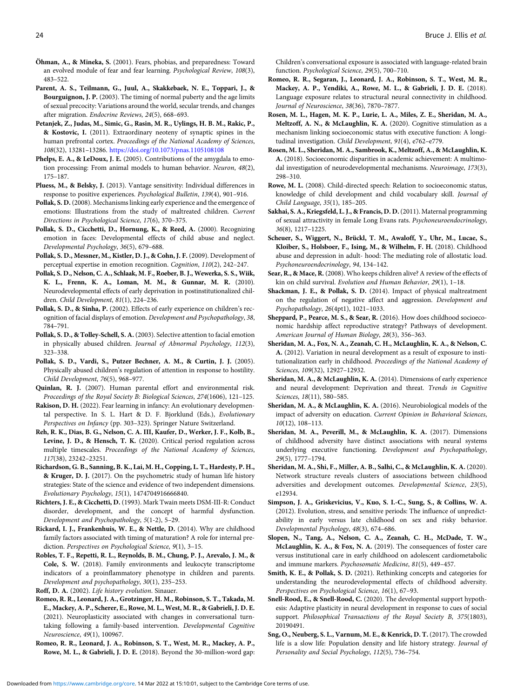- <span id="page-23-0"></span>Öhman, A., & Mineka, S. (2001). Fears, phobias, and preparedness: Toward an evolved module of fear and fear learning. Psychological Review, 108(3), 483–522.
- Parent, A. S., Teilmann, G., Juul, A., Skakkebaek, N. E., Toppari, J., & Bourguignon, J. P. (2003). The timing of normal puberty and the age limits of sexual precocity: Variations around the world, secular trends, and changes after migration. Endocrine Reviews, 24(5), 668–693.
- Petanjek, Z., Judas, M., Simic, G., Rasin, M. R., Uylings, H. B. M., Rakic, P., & Kostovic, I. (2011). Extraordinary neoteny of synaptic spines in the human prefrontal cortex. Proceedings of the National Academy of Sciences, 108(32), 13281–13286. <https://doi.org/10.1073/pnas.1105108108>
- Phelps, E. A., & LeDoux, J. E. (2005). Contributions of the amygdala to emotion processing: From animal models to human behavior. Neuron, 48(2), 175–187.
- Pluess, M., & Belsky, J. (2013). Vantage sensitivity: Individual differences in response to positive experiences. Psychological Bulletin, 139(4), 901–916.
- Pollak, S. D. (2008). Mechanisms linking early experience and the emergence of emotions: Illustrations from the study of maltreated children. Current Directions in Psychological Science, 17(6), 370–375.
- Pollak, S. D., Cicchetti, D., Hornung, K., & Reed, A. (2000). Recognizing emotion in faces: Developmental effects of child abuse and neglect. Developmental Psychology, 36(5), 679–688.
- Pollak, S. D., Messner, M., Kistler, D. J., & Cohn, J. F. (2009). Development of perceptual expertise in emotion recognition. Cognition, 110(2), 242–247.
- Pollak, S. D., Nelson, C. A., Schlaak, M. F., Roeber, B. J., Wewerka, S. S., Wiik, K. L., Frenn, K. A., Loman, M. M., & Gunnar, M. R. (2010). Neurodevelopmental effects of early deprivation in postinstitutionalized children. Child Development, 81(1), 224–236.
- Pollak, S. D., & Sinha, P. (2002). Effects of early experience on children's recognition of facial displays of emotion. Development and Psychopathology, 38, 784–791.
- Pollak, S. D., & Tolley-Schell, S. A. (2003). Selective attention to facial emotion in physically abused children. Journal of Abnormal Psychology, 112(3), 323–338.
- Pollak, S. D., Vardi, S., Putzer Bechner, A. M., & Curtin, J. J. (2005). Physically abused children's regulation of attention in response to hostility. Child Development, 76(5), 968–977.
- Quinlan, R. J. (2007). Human parental effort and environmental risk. Proceedings of the Royal Society B: Biological Sciences, 274(1606), 121–125.
- Rakison, D. H. (2022). Fear learning in infancy: An evolutionary developmental perspective. In S. L. Hart & D. F. Bjorklund (Eds.), Evolutionary Perspectives on Infancy (pp. 303–323). Springer Nature Switzerland.
- Reh, R. K., Dias, B. G., Nelson, C. A. III, Kaufer, D., Werker, J. F., Kolb, B., Levine, J. D., & Hensch, T. K. (2020). Critical period regulation across multiple timescales. Proceedings of the National Academy of Sciences, 117(38), 23242–23251.
- Richardson, G. B., Sanning, B. K., Lai, M. H., Copping, L. T., Hardesty, P. H., & Kruger, D. J. (2017). On the psychometric study of human life history strategies: State of the science and evidence of two independent dimensions. Evolutionary Psychology, 15(1), 1474704916666840.
- Richters, J. E., & Cicchetti, D. (1993). Mark Twain meets DSM-III-R: Conduct disorder, development, and the concept of harmful dysfunction. Development and Psychopathology, 5(1-2), 5–29.
- Rickard, I. J., Frankenhuis, W. E., & Nettle, D. (2014). Why are childhood family factors associated with timing of maturation? A role for internal prediction. Perspectives on Psychological Science, 9(1), 3–15.
- Robles, T. F., Repetti, R. L., Reynolds, B. M., Chung, P. J., Arevalo, J. M., & Cole, S. W. (2018). Family environments and leukocyte transcriptome indicators of a proinflammatory phenotype in children and parents. Development and psychopathology, 30(1), 235–253.
- Roff, D. A. (2002). Life history evolution. Sinauer.
- Romeo, R. R., Leonard, J. A., Grotzinger, H. M., Robinson, S. T., Takada, M. E., Mackey, A. P., Scherer, E., Rowe, M. L., West, M. R., & Gabrieli, J. D. E. (2021). Neuroplasticity associated with changes in conversational turntaking following a family-based intervention. Developmental Cognitive Neuroscience, 49(1), 100967.
- Romeo, R. R., Leonard, J. A., Robinson, S. T., West, M. R., Mackey, A. P., Rowe, M. L., & Gabrieli, J. D. E. (2018). Beyond the 30-million-word gap:

Children's conversational exposure is associated with language-related brain function. Psychological Science, 29(5), 700–710.

- Romeo, R. R., Segaran, J., Leonard, J. A., Robinson, S. T., West, M. R., Mackey, A. P., Yendiki, A., Rowe, M. L., & Gabrieli, J. D. E. (2018). Language exposure relates to structural neural connectivity in childhood. Journal of Neuroscience, 38(36), 7870–7877.
- Rosen, M. L., Hagen, M. K. P., Lurie, L. A., Miles, Z. E., Sheridan, M. A., Meltzoff, A. N., & McLaughlin, K. A. (2020). Cognitive stimulation as a mechanism linking socioeconomic status with executive function: A longitudinal investigation. Child Development, 91(4), e762–e779.
- Rosen, M. L., Sheridan, M. A., Sambrook, K., Meltzoff, A., & McLaughlin, K. A. (2018). Socioeconomic disparities in academic achievement: A multimodal investigation of neurodevelopmental mechanisms. Neuroimage, 173(3), 298–310.
- Rowe, M. L. (2008). Child-directed speech: Relation to socioeconomic status, knowledge of child development and child vocabulary skill. Journal of Child Language, 35(1), 185–205.
- Sakhai, S. A., Kriegsfeld, L. J., & Francis, D. D.(2011). Maternal programming of sexual attractivity in female Long Evans rats. Psychoneuroendocrinology, 36(8), 1217–1225.
- Scheuer, S., Wiggert, N., Brückl, T. M., Awaloff, Y., Uhr, M., Lucae, S., Kloiber, S., Holsboer, F., Ising, M., & Wilhelm, F. H. (2018). Childhood abuse and depression in adult- hood: The mediating role of allostatic load. Psychoneuroendocrinology, 94, 134–142.
- Sear, R., & Mace, R. (2008). Who keeps children alive? A review of the effects of kin on child survival. Evolution and Human Behavior, 29(1), 1–18.
- Shackman, J. E., & Pollak, S. D. (2014). Impact of physical maltreatment on the regulation of negative affect and aggression. Development and Psychopathology, 26(4pt1), 1021–1033.
- Sheppard, P., Pearce, M. S., & Sear, R. (2016). How does childhood socioeconomic hardship affect reproductive strategy? Pathways of development. American Journal of Human Biology, 28(3), 356–363.
- Sheridan, M. A., Fox, N. A., Zeanah, C. H., McLaughlin, K. A., & Nelson, C. A. (2012). Variation in neural development as a result of exposure to institutionalization early in childhood. Proceedings of the National Academy of Sciences, 109(32), 12927–12932.
- Sheridan, M. A., & McLaughlin, K. A. (2014). Dimensions of early experience and neural development: Deprivation and threat. Trends in Cognitive Sciences, 18(11), 580–585.
- Sheridan, M. A., & McLaughlin, K. A. (2016). Neurobiological models of the impact of adversity on education. Current Opinion in Behavioral Sciences, 10(12), 108–113.
- Sheridan, M. A., Peverill, M., & McLaughlin, K. A. (2017). Dimensions of childhood adversity have distinct associations with neural systems underlying executive functioning. Development and Psychopathology, 29(5), 1777–1794.
- Sheridan, M. A., Shi, F., Miller, A. B., Salhi, C., & McLaughlin, K. A. (2020). Network structure reveals clusters of associations between childhood adversities and development outcomes. Developmental Science, 23(5), e12934.
- Simpson, J. A., Griskevicius, V., Kuo, S. I.-C., Sung, S., & Collins, W. A. (2012). Evolution, stress, and sensitive periods: The influence of unpredictability in early versus late childhood on sex and risky behavior. Developmental Psychology, 48(3), 674–686.
- Slopen, N., Tang, A., Nelson, C. A., Zeanah, C. H., McDade, T. W., McLaughlin, K. A., & Fox, N. A. (2019). The consequences of foster care versus institutional care in early childhood on adolescent cardiometabolic and immune markers. Psychosomatic Medicine, 81(5), 449–457.
- Smith, K. E., & Pollak, S. D. (2021). Rethinking concepts and categories for understanding the neurodevelopmental effects of childhood adversity. Perspectives on Psychological Science, 16(1), 67–93.
- Snell-Rood, E., & Snell-Rood, C. (2020). The developmental support hypothesis: Adaptive plasticity in neural development in response to cues of social support. Philosophical Transactions of the Royal Society B, 375(1803), 20190491.
- Sng, O., Neuberg, S. L., Varnum, M. E., & Kenrick, D. T. (2017). The crowded life is a slow life: Population density and life history strategy. Journal of Personality and Social Psychology, 112(5), 736–754.